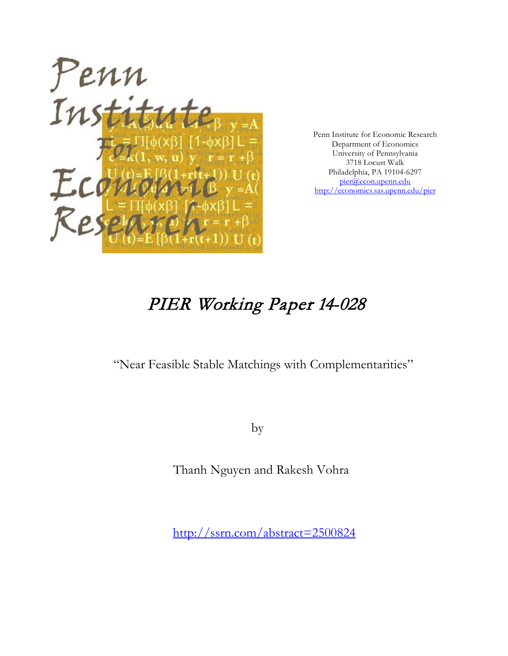

Penn Institute for Economic Research Department of Economics University of Pennsylvania 3718 Locust Walk Philadelphia, PA 19104-6297 [pier@econ.upenn.edu](mailto:pier@econ.upenn.edu) <http://economics.sas.upenn.edu/pier>

# PIER Working Paper 14-028

"Near Feasible Stable Matchings with Complementarities"

by

Thanh Nguyen and Rakesh Vohra

[http://ssrn.com/abstract=2](http://ssrn.com/abstract_id=)500824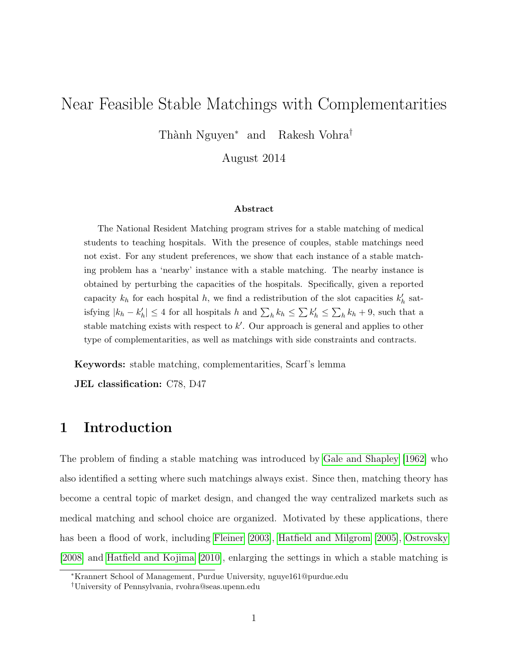# Near Feasible Stable Matchings with Complementarities

Thành Nguyen<sup>∗</sup> and Rakesh Vohra<sup>†</sup>

August 2014

#### Abstract

The National Resident Matching program strives for a stable matching of medical students to teaching hospitals. With the presence of couples, stable matchings need not exist. For any student preferences, we show that each instance of a stable matching problem has a 'nearby' instance with a stable matching. The nearby instance is obtained by perturbing the capacities of the hospitals. Specifically, given a reported capacity  $k_h$  for each hospital h, we find a redistribution of the slot capacities  $k'_h$  satisfying  $|k_h - k'_h| \leq 4$  for all hospitals h and  $\sum_h k_h \leq \sum_k k'_h \leq \sum_h k_h + 9$ , such that a stable matching exists with respect to  $k'$ . Our approach is general and applies to other type of complementarities, as well as matchings with side constraints and contracts.

Keywords: stable matching, complementarities, Scarf's lemma

JEL classification: C78, D47

# 1 Introduction

The problem of finding a stable matching was introduced by [Gale and Shapley](#page-33-0) [\[1962\]](#page-33-0) who also identified a setting where such matchings always exist. Since then, matching theory has become a central topic of market design, and changed the way centralized markets such as medical matching and school choice are organized. Motivated by these applications, there has been a flood of work, including [Fleiner](#page-33-1) [\[2003\]](#page-33-1), [Hatfield and Milgrom](#page-33-2) [\[2005\]](#page-33-2), [Ostrovsky](#page-34-0) [\[2008\]](#page-34-0) and [Hatfield and Kojima](#page-33-3) [\[2010\]](#page-33-3), enlarging the settings in which a stable matching is

<sup>∗</sup>Krannert School of Management, Purdue University, nguye161@purdue.edu

<sup>†</sup>University of Pennsylvania, rvohra@seas.upenn.edu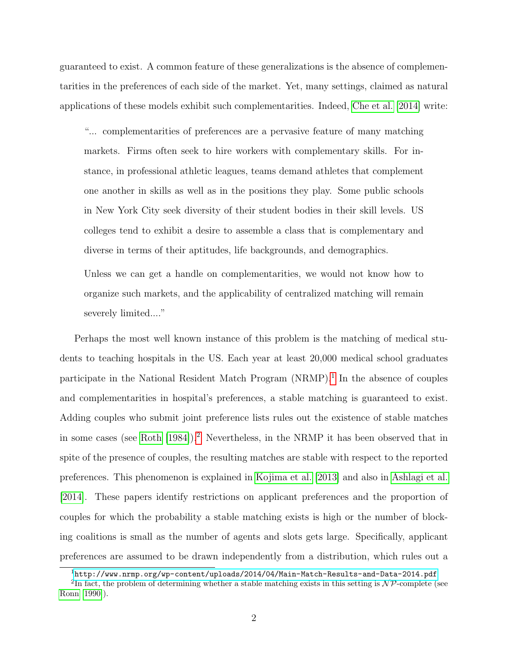guaranteed to exist. A common feature of these generalizations is the absence of complementarities in the preferences of each side of the market. Yet, many settings, claimed as natural applications of these models exhibit such complementarities. Indeed, [Che et al.](#page-32-0) [\[2014\]](#page-32-0) write:

"... complementarities of preferences are a pervasive feature of many matching markets. Firms often seek to hire workers with complementary skills. For instance, in professional athletic leagues, teams demand athletes that complement one another in skills as well as in the positions they play. Some public schools in New York City seek diversity of their student bodies in their skill levels. US colleges tend to exhibit a desire to assemble a class that is complementary and diverse in terms of their aptitudes, life backgrounds, and demographics.

Unless we can get a handle on complementarities, we would not know how to organize such markets, and the applicability of centralized matching will remain severely limited...."

Perhaps the most well known instance of this problem is the matching of medical students to teaching hospitals in the US. Each year at least 20,000 medical school graduates participate in the National Resident Match Program (NRMP).<sup>[1](#page-2-0)</sup> In the absence of couples and complementarities in hospital's preferences, a stable matching is guaranteed to exist. Adding couples who submit joint preference lists rules out the existence of stable matches in some cases (see [Roth](#page-34-1) [\[1984\]](#page-34-1)).[2](#page-2-1) Nevertheless, in the NRMP it has been observed that in spite of the presence of couples, the resulting matches are stable with respect to the reported preferences. This phenomenon is explained in [Kojima et al.](#page-34-2) [\[2013\]](#page-34-2) and also in [Ashlagi et al.](#page-32-1) [\[2014\]](#page-32-1). These papers identify restrictions on applicant preferences and the proportion of couples for which the probability a stable matching exists is high or the number of blocking coalitions is small as the number of agents and slots gets large. Specifically, applicant preferences are assumed to be drawn independently from a distribution, which rules out a

<span id="page-2-1"></span><span id="page-2-0"></span><sup>1</sup><http://www.nrmp.org/wp-content/uploads/2014/04/Main-Match-Results-and-Data-2014.pdf>

<sup>&</sup>lt;sup>2</sup>In fact, the problem of determining whether a stable matching exists in this setting is  $\mathcal{NP}$ -complete (see [Ronn](#page-34-3) [\[1990\]](#page-34-3)).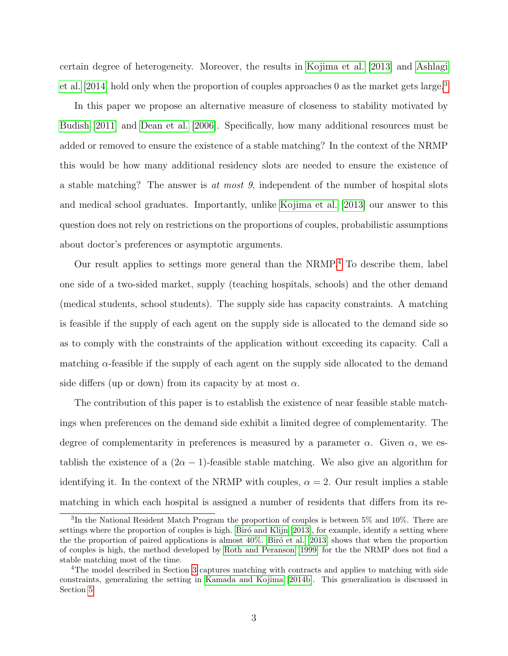certain degree of heterogeneity. Moreover, the results in [Kojima et al.](#page-34-2) [\[2013\]](#page-34-2) and [Ashlagi](#page-32-1) [et al.](#page-32-1) [\[2014\]](#page-32-1) hold only when the proportion of couples approaches 0 as the market gets large.<sup>[3](#page-3-0)</sup>

In this paper we propose an alternative measure of closeness to stability motivated by [Budish](#page-32-2) [\[2011\]](#page-32-2) and [Dean et al.](#page-33-4) [\[2006\]](#page-33-4). Specifically, how many additional resources must be added or removed to ensure the existence of a stable matching? In the context of the NRMP this would be how many additional residency slots are needed to ensure the existence of a stable matching? The answer is at most 9, independent of the number of hospital slots and medical school graduates. Importantly, unlike [Kojima et al.](#page-34-2) [\[2013\]](#page-34-2) our answer to this question does not rely on restrictions on the proportions of couples, probabilistic assumptions about doctor's preferences or asymptotic arguments.

Our result applies to settings more general than the NRMP.[4](#page-3-1) To describe them, label one side of a two-sided market, supply (teaching hospitals, schools) and the other demand (medical students, school students). The supply side has capacity constraints. A matching is feasible if the supply of each agent on the supply side is allocated to the demand side so as to comply with the constraints of the application without exceeding its capacity. Call a matching  $\alpha$ -feasible if the supply of each agent on the supply side allocated to the demand side differs (up or down) from its capacity by at most  $\alpha$ .

The contribution of this paper is to establish the existence of near feasible stable matchings when preferences on the demand side exhibit a limited degree of complementarity. The degree of complementarity in preferences is measured by a parameter  $\alpha$ . Given  $\alpha$ , we establish the existence of a  $(2\alpha - 1)$ -feasible stable matching. We also give an algorithm for identifying it. In the context of the NRMP with couples,  $\alpha = 2$ . Our result implies a stable matching in which each hospital is assigned a number of residents that differs from its re-

<span id="page-3-0"></span><sup>&</sup>lt;sup>3</sup>In the National Resident Match Program the proportion of couples is between 5% and 10%. There are settings where the proportion of couples is high. Biró and Klijn  $[2013]$ , for example, identify a setting where the the proportion of paired applications is almost  $40\%$ . Birô et al. [\[2013\]](#page-32-4) shows that when the proportion of couples is high, the method developed by [Roth and Peranson](#page-34-4) [\[1999\]](#page-34-4) for the the NRMP does not find a stable matching most of the time.

<span id="page-3-1"></span><sup>&</sup>lt;sup>4</sup>The model described in Section [3](#page-9-0) captures matching with contracts and applies to matching with side constraints, generalizing the setting in [Kamada and Kojima](#page-33-5) [\[2014b\]](#page-33-5). This generalization is discussed in Section [5.](#page-27-0)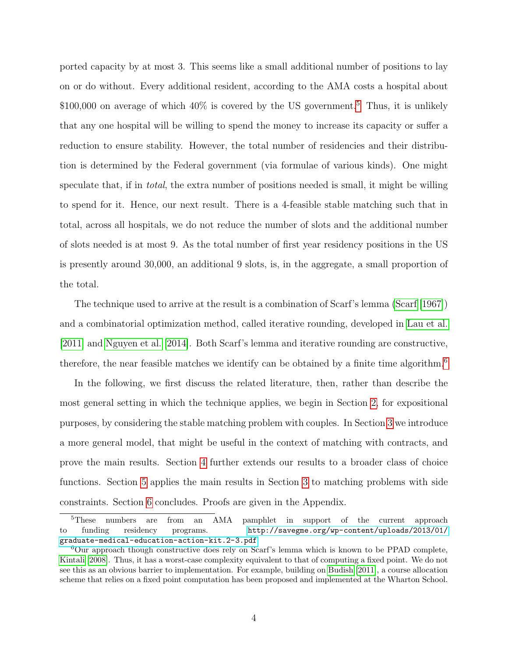ported capacity by at most 3. This seems like a small additional number of positions to lay on or do without. Every additional resident, according to the AMA costs a hospital about \$100,000 on average of which  $40\%$  is covered by the US government.<sup>[5](#page-4-0)</sup> Thus, it is unlikely that any one hospital will be willing to spend the money to increase its capacity or suffer a reduction to ensure stability. However, the total number of residencies and their distribution is determined by the Federal government (via formulae of various kinds). One might speculate that, if in total, the extra number of positions needed is small, it might be willing to spend for it. Hence, our next result. There is a 4-feasible stable matching such that in total, across all hospitals, we do not reduce the number of slots and the additional number of slots needed is at most 9. As the total number of first year residency positions in the US is presently around 30,000, an additional 9 slots, is, in the aggregate, a small proportion of the total.

The technique used to arrive at the result is a combination of Scarf's lemma [\(Scarf](#page-34-5) [\[1967\]](#page-34-5)) and a combinatorial optimization method, called iterative rounding, developed in [Lau et al.](#page-34-6) [\[2011\]](#page-34-6) and [Nguyen et al.](#page-34-7) [\[2014\]](#page-34-7). Both Scarf's lemma and iterative rounding are constructive, therefore, the near feasible matches we identify can be obtained by a finite time algorithm.<sup>[6](#page-4-1)</sup>

In the following, we first discuss the related literature, then, rather than describe the most general setting in which the technique applies, we begin in Section [2,](#page-6-0) for expositional purposes, by considering the stable matching problem with couples. In Section [3](#page-9-0) we introduce a more general model, that might be useful in the context of matching with contracts, and prove the main results. Section [4](#page-19-0) further extends our results to a broader class of choice functions. Section [5](#page-27-0) applies the main results in Section [3](#page-9-0) to matching problems with side constraints. Section [6](#page-31-0) concludes. Proofs are given in the Appendix.

<span id="page-4-0"></span><sup>&</sup>lt;sup>5</sup>These numbers are from an AMA pamphlet in support of the current approach to funding residency programs. [http://savegme.org/wp-content/uploads/2013/01/](http://savegme.org/wp-content/uploads/2013/01/graduate-medical-education-action-kit.2-3.pdf) [graduate-medical-education-action-kit.2-3.pdf](http://savegme.org/wp-content/uploads/2013/01/graduate-medical-education-action-kit.2-3.pdf)

<span id="page-4-1"></span><sup>6</sup>Our approach though constructive does rely on Scarf's lemma which is known to be PPAD complete, [Kintali](#page-33-6) [\[2008\]](#page-33-6). Thus, it has a worst-case complexity equivalent to that of computing a fixed point. We do not see this as an obvious barrier to implementation. For example, building on [Budish](#page-32-2) [\[2011\]](#page-32-2), a course allocation scheme that relies on a fixed point computation has been proposed and implemented at the Wharton School.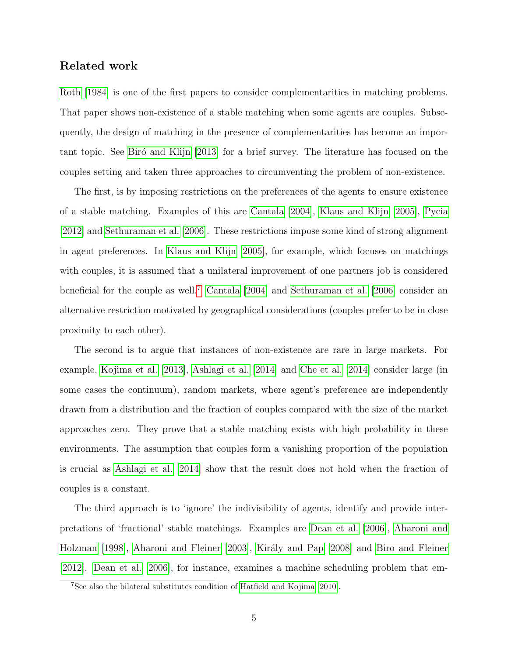#### Related work

[Roth](#page-34-1) [\[1984\]](#page-34-1) is one of the first papers to consider complementarities in matching problems. That paper shows non-existence of a stable matching when some agents are couples. Subsequently, the design of matching in the presence of complementarities has become an impor-tant topic. See Biro and Klijn [\[2013\]](#page-32-3) for a brief survey. The literature has focused on the couples setting and taken three approaches to circumventing the problem of non-existence.

The first, is by imposing restrictions on the preferences of the agents to ensure existence of a stable matching. Examples of this are [Cantala](#page-32-5) [\[2004\]](#page-32-5), [Klaus and Klijn](#page-34-8) [\[2005\]](#page-34-8), [Pycia](#page-34-9) [\[2012\]](#page-34-9) and [Sethuraman et al.](#page-35-0) [\[2006\]](#page-35-0). These restrictions impose some kind of strong alignment in agent preferences. In [Klaus and Klijn](#page-34-8) [\[2005\]](#page-34-8), for example, which focuses on matchings with couples, it is assumed that a unilateral improvement of one partners job is considered beneficial for the couple as well.<sup>[7](#page-5-0)</sup> [Cantala](#page-32-5) [\[2004\]](#page-32-5) and [Sethuraman et al.](#page-35-0) [\[2006\]](#page-35-0) consider an alternative restriction motivated by geographical considerations (couples prefer to be in close proximity to each other).

The second is to argue that instances of non-existence are rare in large markets. For example, [Kojima et al.](#page-34-2) [\[2013\]](#page-34-2), [Ashlagi et al.](#page-32-1) [\[2014\]](#page-32-1) and [Che et al.](#page-32-0) [\[2014\]](#page-32-0) consider large (in some cases the continuum), random markets, where agent's preference are independently drawn from a distribution and the fraction of couples compared with the size of the market approaches zero. They prove that a stable matching exists with high probability in these environments. The assumption that couples form a vanishing proportion of the population is crucial as [Ashlagi et al.](#page-32-1) [\[2014\]](#page-32-1) show that the result does not hold when the fraction of couples is a constant.

The third approach is to 'ignore' the indivisibility of agents, identify and provide interpretations of 'fractional' stable matchings. Examples are [Dean et al.](#page-33-4) [\[2006\]](#page-33-4), [Aharoni and](#page-32-6) [Holzman](#page-32-6) [\[1998\]](#page-32-6), [Aharoni and Fleiner](#page-32-7) [\[2003\]](#page-32-7), Király and Pap [\[2008\]](#page-33-7) and [Biro and Fleiner](#page-32-8) [\[2012\]](#page-32-8). [Dean et al.](#page-33-4) [\[2006\]](#page-33-4), for instance, examines a machine scheduling problem that em-

<span id="page-5-0"></span><sup>7</sup>See also the bilateral substitutes condition of [Hatfield and Kojima](#page-33-3) [\[2010\]](#page-33-3).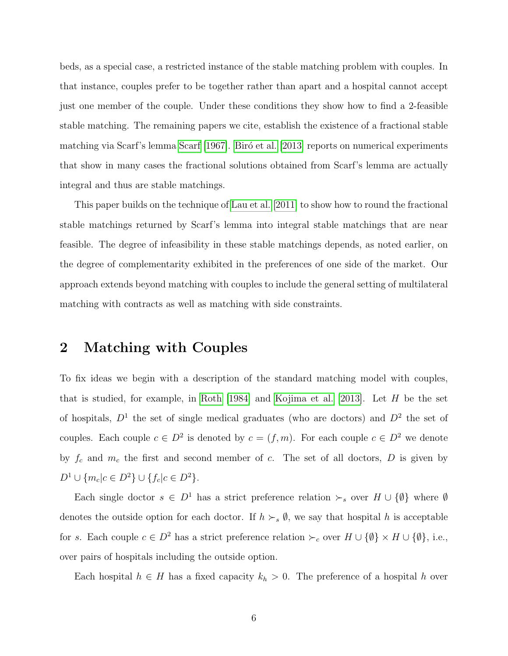beds, as a special case, a restricted instance of the stable matching problem with couples. In that instance, couples prefer to be together rather than apart and a hospital cannot accept just one member of the couple. Under these conditions they show how to find a 2-feasible stable matching. The remaining papers we cite, establish the existence of a fractional stable matching via [Scarf](#page-34-5)'s lemma Scarf [\[1967\]](#page-34-5). Biró et al. [\[2013\]](#page-32-4) reports on numerical experiments that show in many cases the fractional solutions obtained from Scarf's lemma are actually integral and thus are stable matchings.

This paper builds on the technique of [Lau et al.](#page-34-6) [\[2011\]](#page-34-6) to show how to round the fractional stable matchings returned by Scarf's lemma into integral stable matchings that are near feasible. The degree of infeasibility in these stable matchings depends, as noted earlier, on the degree of complementarity exhibited in the preferences of one side of the market. Our approach extends beyond matching with couples to include the general setting of multilateral matching with contracts as well as matching with side constraints.

# <span id="page-6-0"></span>2 Matching with Couples

To fix ideas we begin with a description of the standard matching model with couples, that is studied, for example, in [Roth](#page-34-1) [\[1984\]](#page-34-1) and [Kojima et al.](#page-34-2) [\[2013\]](#page-34-2). Let H be the set of hospitals,  $D^1$  the set of single medical graduates (who are doctors) and  $D^2$  the set of couples. Each couple  $c \in D^2$  is denoted by  $c = (f, m)$ . For each couple  $c \in D^2$  we denote by  $f_c$  and  $m_c$  the first and second member of c. The set of all doctors, D is given by  $D^{1} \cup \{m_{c} | c \in D^{2} \} \cup \{f_{c} | c \in D^{2} \}.$ 

Each single doctor  $s \in D^1$  has a strict preference relation  $\succ_s$  over  $H \cup \{\emptyset\}$  where  $\emptyset$ denotes the outside option for each doctor. If  $h \succ_s \emptyset$ , we say that hospital h is acceptable for s. Each couple  $c \in D^2$  has a strict preference relation  $\succ_c$  over  $H \cup \{\emptyset\} \times H \cup \{\emptyset\}$ , i.e., over pairs of hospitals including the outside option.

Each hospital  $h \in H$  has a fixed capacity  $k_h > 0$ . The preference of a hospital h over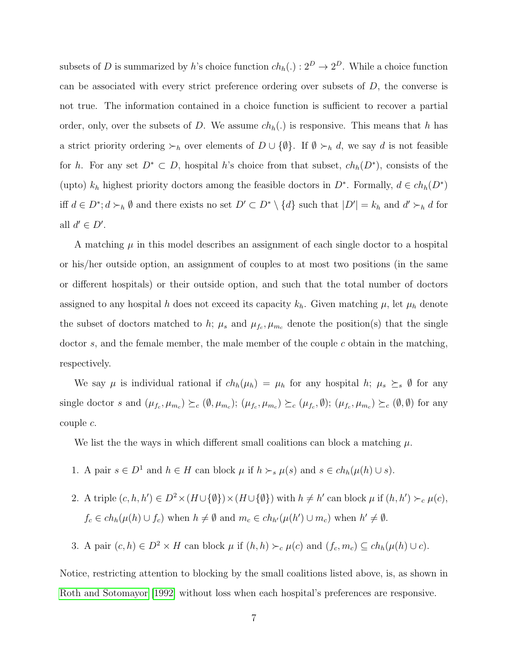subsets of D is summarized by h's choice function  $ch_h(.) : 2^D \to 2^D$ . While a choice function can be associated with every strict preference ordering over subsets of  $D$ , the converse is not true. The information contained in a choice function is sufficient to recover a partial order, only, over the subsets of D. We assume  $ch<sub>h</sub>(.)$  is responsive. This means that h has a strict priority ordering  $\succ_h$  over elements of  $D \cup \{\emptyset\}$ . If  $\emptyset \succ_h d$ , we say d is not feasible for h. For any set  $D^* \subset D$ , hospital h's choice from that subset,  $ch_h(D^*)$ , consists of the (upto)  $k_h$  highest priority doctors among the feasible doctors in  $D^*$ . Formally,  $d \in ch_h(D^*)$ iff  $d \in D^*$ ;  $d \succ_h \emptyset$  and there exists no set  $D' \subset D^* \setminus \{d\}$  such that  $|D'| = k_h$  and  $d' \succ_h d$  for all  $d' \in D'$ .

A matching  $\mu$  in this model describes an assignment of each single doctor to a hospital or his/her outside option, an assignment of couples to at most two positions (in the same or different hospitals) or their outside option, and such that the total number of doctors assigned to any hospital h does not exceed its capacity  $k_h$ . Given matching  $\mu$ , let  $\mu_h$  denote the subset of doctors matched to h;  $\mu_s$  and  $\mu_{f_c}, \mu_{m_c}$  denote the position(s) that the single doctor  $s$ , and the female member, the male member of the couple  $c$  obtain in the matching, respectively.

We say  $\mu$  is individual rational if  $ch_h(\mu_h) = \mu_h$  for any hospital h;  $\mu_s \succeq_s \emptyset$  for any single doctor s and  $(\mu_{f_c}, \mu_{m_c}) \succeq_c (\emptyset, \mu_{m_c}); (\mu_{f_c}, \mu_{m_c}) \succeq_c (\mu_{f_c}, \emptyset); (\mu_{f_c}, \mu_{m_c}) \succeq_c (\emptyset, \emptyset)$  for any couple c.

We list the the ways in which different small coalitions can block a matching  $\mu$ .

- 1. A pair  $s \in D^1$  and  $h \in H$  can block  $\mu$  if  $h \succ_s \mu(s)$  and  $s \in ch_h(\mu(h) \cup s)$ .
- 2. A triple  $(c, h, h') \in D^2 \times (H \cup {\emptyset}) \times (H \cup {\emptyset})$  with  $h \neq h'$  can block  $\mu$  if  $(h, h') \succ_c \mu(c)$ ,  $f_c \in ch_h(\mu(h) \cup f_c)$  when  $h \neq \emptyset$  and  $m_c \in ch_{h'}(\mu(h') \cup m_c)$  when  $h' \neq \emptyset$ .
- 3. A pair  $(c, h) \in D^2 \times H$  can block  $\mu$  if  $(h, h) \succ_c \mu(c)$  and  $(f_c, m_c) \subseteq ch_h(\mu(h) \cup c)$ .

Notice, restricting attention to blocking by the small coalitions listed above, is, as shown in [Roth and Sotomayor](#page-34-10) [\[1992\]](#page-34-10) without loss when each hospital's preferences are responsive.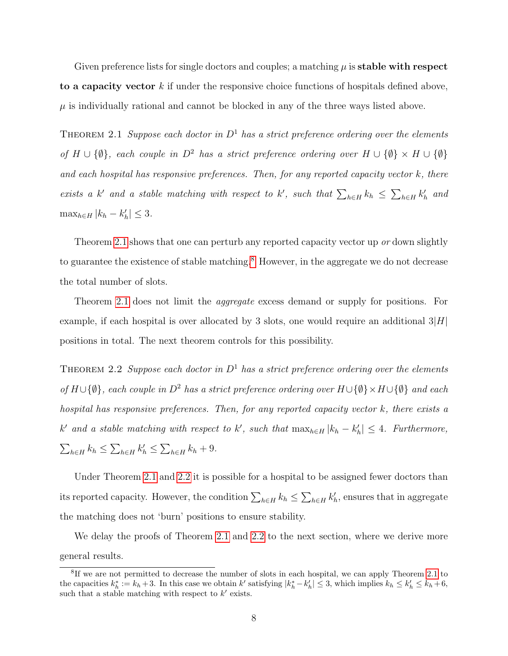Given preference lists for single doctors and couples; a matching  $\mu$  is **stable with respect** to a capacity vector  $k$  if under the responsive choice functions of hospitals defined above,  $\mu$  is individually rational and cannot be blocked in any of the three ways listed above.

<span id="page-8-0"></span>THEOREM 2.1 Suppose each doctor in  $D^1$  has a strict preference ordering over the elements of  $H \cup {\emptyset}$ , each couple in  $D^2$  has a strict preference ordering over  $H \cup {\emptyset} \times H \cup {\emptyset}$ and each hospital has responsive preferences. Then, for any reported capacity vector  $k$ , there exists a k' and a stable matching with respect to k', such that  $\sum_{h\in H} k_h \leq \sum_{h\in H} k'_h$  and  $\max_{h \in H} |k_h - k'_h| \leq 3.$ 

Theorem [2.1](#page-8-0) shows that one can perturb any reported capacity vector up or down slightly to guarantee the existence of stable matching.<sup>[8](#page-8-1)</sup> However, in the aggregate we do not decrease the total number of slots.

Theorem [2.1](#page-8-0) does not limit the *aggregate* excess demand or supply for positions. For example, if each hospital is over allocated by 3 slots, one would require an additional  $3|H|$ positions in total. The next theorem controls for this possibility.

<span id="page-8-2"></span>THEOREM 2.2 Suppose each doctor in  $D^1$  has a strict preference ordering over the elements of  $H \cup {\emptyset}$ , each couple in  $D^2$  has a strict preference ordering over  $H \cup {\emptyset} \times H \cup {\emptyset}$  and each hospital has responsive preferences. Then, for any reported capacity vector k, there exists a k' and a stable matching with respect to k', such that  $\max_{h \in H} |k_h - k'_h| \leq 4$ . Furthermore,  $\sum_{h\in H} k_h \leq \sum_{h\in H} k'_h \leq \sum_{h\in H} k_h + 9.$ 

Under Theorem [2.1](#page-8-0) and [2.2](#page-8-2) it is possible for a hospital to be assigned fewer doctors than its reported capacity. However, the condition  $\sum_{h\in H} k_h \leq \sum_{h\in H} k'_h$ , ensures that in aggregate the matching does not 'burn' positions to ensure stability.

We delay the proofs of Theorem [2.1](#page-8-0) and [2.2](#page-8-2) to the next section, where we derive more general results.

<span id="page-8-1"></span><sup>&</sup>lt;sup>8</sup>If we are not permitted to decrease the number of slots in each hospital, we can apply Theorem [2.1](#page-8-0) to the capacities  $k_h^* := k_h + 3$ . In this case we obtain k' satisfying  $|k_h^* - k_h'| \leq 3$ , which implies  $k_h \leq k_h' \leq k_h + 6$ , such that a stable matching with respect to  $k'$  exists.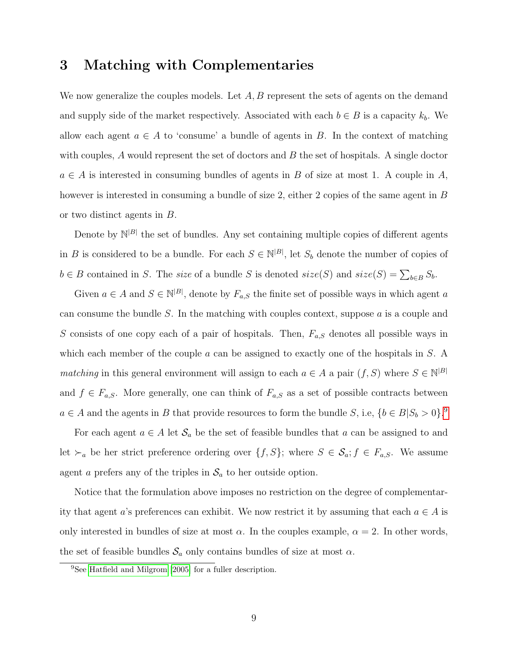# <span id="page-9-0"></span>3 Matching with Complementaries

We now generalize the couples models. Let  $A, B$  represent the sets of agents on the demand and supply side of the market respectively. Associated with each  $b \in B$  is a capacity  $k_b$ . We allow each agent  $a \in A$  to 'consume' a bundle of agents in B. In the context of matching with couples,  $A$  would represent the set of doctors and  $B$  the set of hospitals. A single doctor  $a \in A$  is interested in consuming bundles of agents in B of size at most 1. A couple in A, however is interested in consuming a bundle of size 2, either 2 copies of the same agent in B or two distinct agents in B.

Denote by  $\mathbb{N}^{|B|}$  the set of bundles. Any set containing multiple copies of different agents in B is considered to be a bundle. For each  $S \in \mathbb{N}^{|B|}$ , let  $S_b$  denote the number of copies of  $b \in B$  contained in S. The size of a bundle S is denoted size(S) and size(S) =  $\sum_{b \in B} S_b$ .

Given  $a \in A$  and  $S \in \mathbb{N}^{|B|}$ , denote by  $F_{a,S}$  the finite set of possible ways in which agent a can consume the bundle S. In the matching with couples context, suppose  $a$  is a couple and S consists of one copy each of a pair of hospitals. Then,  $F_{a,S}$  denotes all possible ways in which each member of the couple  $a$  can be assigned to exactly one of the hospitals in  $S$ . A matching in this general environment will assign to each  $a \in A$  a pair  $(f, S)$  where  $S \in \mathbb{N}^{|B|}$ and  $f \in F_{a,S}$ . More generally, one can think of  $F_{a,S}$  as a set of possible contracts between  $a \in A$  and the agents in B that provide resources to form the bundle S, i.e,  $\{b \in B | S_b > 0\}$ .

For each agent  $a \in A$  let  $\mathcal{S}_a$  be the set of feasible bundles that a can be assigned to and let  $\succ_a$  be her strict preference ordering over  $\{f, S\}$ ; where  $S \in \mathcal{S}_a$ ;  $f \in F_{a,S}$ . We assume agent a prefers any of the triples in  $\mathcal{S}_a$  to her outside option.

Notice that the formulation above imposes no restriction on the degree of complementarity that agent a's preferences can exhibit. We now restrict it by assuming that each  $a \in A$  is only interested in bundles of size at most  $\alpha$ . In the couples example,  $\alpha = 2$ . In other words, the set of feasible bundles  $S_a$  only contains bundles of size at most  $\alpha$ .

<span id="page-9-1"></span><sup>9</sup>See [Hatfield and Milgrom](#page-33-2) [\[2005\]](#page-33-2) for a fuller description.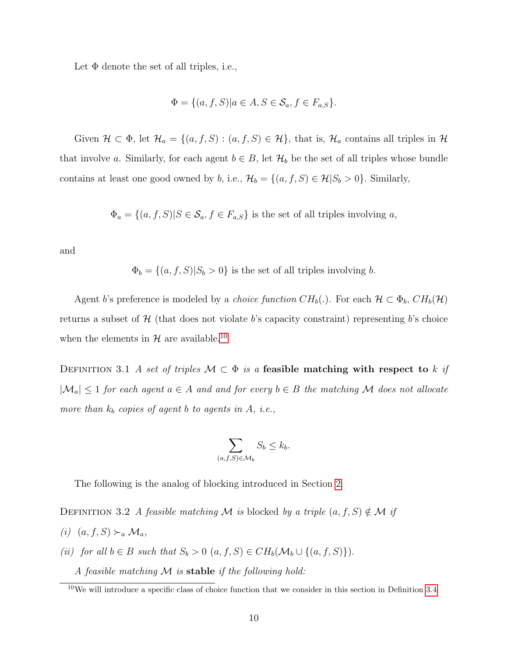Let  $\Phi$  denote the set of all triples, i.e.,

$$
\Phi = \{(a, f, S) | a \in A, S \in \mathcal{S}_a, f \in F_{a,S}\}.
$$

Given  $\mathcal{H} \subset \Phi$ , let  $\mathcal{H}_a = \{(a, f, S) : (a, f, S) \in \mathcal{H}\}\$ , that is,  $\mathcal{H}_a$  contains all triples in  $\mathcal{H}$ that involve a. Similarly, for each agent  $b \in B$ , let  $\mathcal{H}_b$  be the set of all triples whose bundle contains at least one good owned by b, i.e.,  $\mathcal{H}_b = \{(a, f, S) \in \mathcal{H} | S_b > 0\}$ . Similarly,

 $\Phi_a = \{(a, f, S)|S \in \mathcal{S}_a, f \in F_{a,S}\}\$ is the set of all triples involving a,

and

 $\Phi_b = \{(a, f, S)|S_b > 0\}$  is the set of all triples involving b.

Agent b's preference is modeled by a *choice function*  $CH_b(.)$ . For each  $\mathcal{H} \subset \Phi_b$ ,  $CH_b(\mathcal{H})$ returns a subset of  $\mathcal{H}$  (that does not violate b's capacity constraint) representing b's choice when the elements in  $H$  are available.<sup>[10](#page-10-0)</sup>

DEFINITION 3.1 A set of triples  $M \subset \Phi$  is a feasible matching with respect to k if  $|\mathcal{M}_a| \leq 1$  for each agent  $a \in A$  and and for every  $b \in B$  the matching M does not allocate more than  $k_b$  copies of agent b to agents in A, i.e.,

<span id="page-10-1"></span>
$$
\sum_{(a,f,S)\in\mathcal{M}_b} S_b \le k_b.
$$

The following is the analog of blocking introduced in Section [2.](#page-6-0)

DEFINITION 3.2 A feasible matching M is blocked by a triple  $(a, f, S) \notin \mathcal{M}$  if

- (i)  $(a, f, S) \succ_a \mathcal{M}_a$ ,
- (ii) for all  $b \in B$  such that  $S_b > 0$   $(a, f, S) \in CH_b(\mathcal{M}_b \cup \{(a, f, S)\})$ .

A feasible matching  $M$  is stable if the following hold:

<span id="page-10-0"></span> $10\,\text{We will introduce a specific class of choice function that we consider in this section in Definition 3.4.}$  $10\,\text{We will introduce a specific class of choice function that we consider in this section in Definition 3.4.}$  $10\,\text{We will introduce a specific class of choice function that we consider in this section in Definition 3.4.}$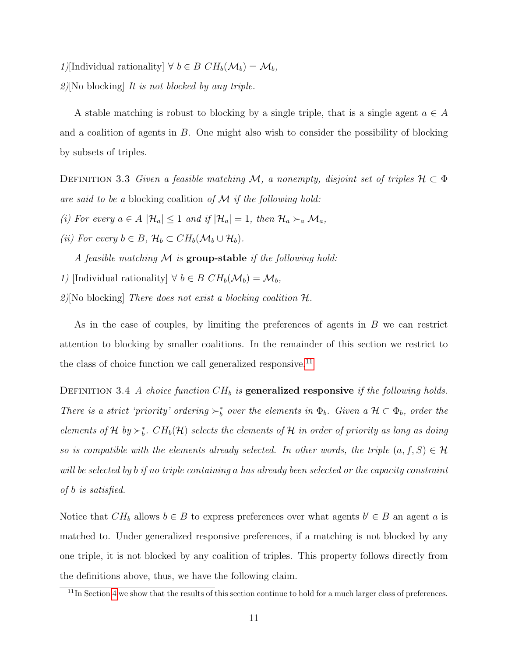1)[Individual rationality]  $\forall b \in B \; CH_b(\mathcal{M}_b) = \mathcal{M}_b$ ,  $2$ ][No blocking] It is not blocked by any triple.

<span id="page-11-2"></span>A stable matching is robust to blocking by a single triple, that is a single agent  $a \in A$ and a coalition of agents in  $B$ . One might also wish to consider the possibility of blocking by subsets of triples.

DEFINITION 3.3 Given a feasible matching M, a nonempty, disjoint set of triples  $\mathcal{H} \subset \Phi$ are said to be a blocking coalition of  $M$  if the following hold:

- (i) For every  $a \in A \vert \mathcal{H}_a \vert \leq 1$  and if  $\vert \mathcal{H}_a \vert = 1$ , then  $\mathcal{H}_a \succ_a \mathcal{M}_a$ ,
- (ii) For every  $b \in B$ ,  $\mathcal{H}_b \subset CH_b(\mathcal{M}_b \cup \mathcal{H}_b)$ .
	- A feasible matching  $\mathcal M$  is group-stable if the following hold:
- 1) [Individual rationality]  $\forall b \in B \; CH_b(\mathcal{M}_b) = \mathcal{M}_b$ ,
- 2)[No blocking] There does not exist a blocking coalition  $\mathcal{H}$ .

<span id="page-11-0"></span>As in the case of couples, by limiting the preferences of agents in B we can restrict attention to blocking by smaller coalitions. In the remainder of this section we restrict to the class of choice function we call generalized responsive.<sup>[11](#page-11-1)</sup>

DEFINITION 3.4 A choice function  $CH_b$  is generalized responsive if the following holds. There is a strict 'priority' ordering  $\succ_b^*$  over the elements in  $\Phi_b$ . Given a  $\mathcal{H} \subset \Phi_b$ , order the elements of H by  $\succ_b^*$ .  $CH_b(\mathcal{H})$  selects the elements of H in order of priority as long as doing so is compatible with the elements already selected. In other words, the triple  $(a, f, S) \in \mathcal{H}$ will be selected by b if no triple containing a has already been selected or the capacity constraint of b is satisfied.

Notice that  $CH_b$  allows  $b \in B$  to express preferences over what agents  $b' \in B$  an agent a is matched to. Under generalized responsive preferences, if a matching is not blocked by any one triple, it is not blocked by any coalition of triples. This property follows directly from the definitions above, thus, we have the following claim.

<span id="page-11-3"></span><span id="page-11-1"></span> $11$ In Section [4](#page-19-0) we show that the results of this section continue to hold for a much larger class of preferences.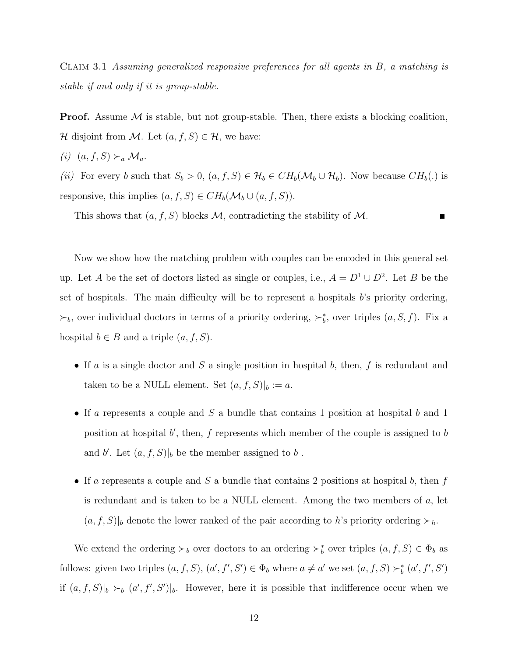Claim 3.1 Assuming generalized responsive preferences for all agents in B, a matching is stable if and only if it is group-stable.

**Proof.** Assume  $M$  is stable, but not group-stable. Then, there exists a blocking coalition,  $\mathcal H$  disjoint from  $\mathcal M$ . Let  $(a, f, S) \in \mathcal H$ , we have:

(i)  $(a, f, S) \succ_a \mathcal{M}_a$ .

(ii) For every b such that  $S_b > 0$ ,  $(a, f, S) \in \mathcal{H}_b \in CH_b(\mathcal{M}_b \cup \mathcal{H}_b)$ . Now because  $CH_b(.)$  is responsive, this implies  $(a, f, S) \in CH_b(\mathcal{M}_b \cup (a, f, S)).$ 

This shows that  $(a, f, S)$  blocks M, contradicting the stability of M.

Now we show how the matching problem with couples can be encoded in this general set up. Let A be the set of doctors listed as single or couples, i.e.,  $A = D^1 \cup D^2$ . Let B be the set of hospitals. The main difficulty will be to represent a hospitals b's priority ordering,  $\succ_b$ , over individual doctors in terms of a priority ordering,  $\succ_b^*$ , over triples  $(a, S, f)$ . Fix a hospital  $b \in B$  and a triple  $(a, f, S)$ .

- If a is a single doctor and S a single position in hospital b, then,  $f$  is redundant and taken to be a NULL element. Set  $(a, f, S)|_b := a$ .
- If a represents a couple and  $S$  a bundle that contains 1 position at hospital b and 1 position at hospital  $b'$ , then,  $f$  represents which member of the couple is assigned to  $b$ and b'. Let  $(a, f, S)|_b$  be the member assigned to b.
- If a represents a couple and S a bundle that contains 2 positions at hospital b, then  $f$ is redundant and is taken to be a NULL element. Among the two members of  $a$ , let  $(a, f, S)|_b$  denote the lower ranked of the pair according to h's priority ordering  $\succ_h$ .

We extend the ordering  $\succ_b$  over doctors to an ordering  $\succ_b^*$  over triples  $(a, f, S) \in \Phi_b$  as follows: given two triples  $(a, f, S)$ ,  $(a', f', S') \in \Phi_b$  where  $a \neq a'$  we set  $(a, f, S) \succ_b^* (a', f', S')$ if  $(a, f, S)|_b \succ_b (a', f', S')|_b$ . However, here it is possible that indifference occur when we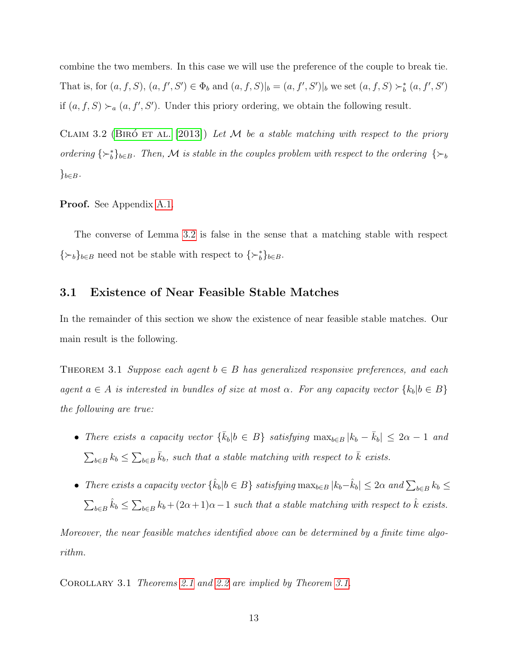<span id="page-13-0"></span>combine the two members. In this case we will use the preference of the couple to break tie. That is, for  $(a, f, S)$ ,  $(a, f', S') \in \Phi_b$  and  $(a, f, S)|_b = (a, f', S')|_b$  we set  $(a, f, S) \succ_b^* (a, f', S')$ if  $(a, f, S) \succ_a (a, f', S')$ . Under this priory ordering, we obtain the following result.

CLAIM 3.2 (BIRO ET AL. [\[2013\]](#page-32-4)) Let M be a stable matching with respect to the priory ordering  $\{\succ_b^*\}_{b\in B}$ . Then, M is stable in the couples problem with respect to the ordering  $\{\succ_b\}$  $\}_{b\in B}$ .

Proof. See Appendix [A.1.](#page-35-1)

The converse of Lemma [3.2](#page-13-0) is false in the sense that a matching stable with respect  $\{\succ_b\}_{b\in B}$  need not be stable with respect to  $\{\succ_b^*\}_{b\in B}$ .

#### 3.1 Existence of Near Feasible Stable Matches

In the remainder of this section we show the existence of near feasible stable matches. Our main result is the following.

<span id="page-13-1"></span>THEOREM 3.1 Suppose each agent  $b \in B$  has generalized responsive preferences, and each agent  $a \in A$  is interested in bundles of size at most  $\alpha$ . For any capacity vector  $\{k_b | b \in B\}$ the following are true:

- There exists a capacity vector  $\{\bar{k}_b|b \in B\}$  satisfying  $\max_{b \in B} |k_b \bar{k}_b| \leq 2\alpha 1$  and  $\sum_{b \in B} k_b \leq \sum_{b \in B} \bar{k}_b$ , such that a stable matching with respect to  $\bar{k}$  exists.
- There exists a capacity vector  $\{\hat{k}_b | b \in B\}$  satisfying  $\max_{b \in B} |k_b \hat{k}_b| \leq 2\alpha$  and  $\sum_{b \in B} k_b \leq$  $\sum_{b\in B}\hat{k}_b \leq \sum_{b\in B}k_b + (2\alpha+1)\alpha-1$  such that a stable matching with respect to  $\hat{k}$  exists.

Moreover, the near feasible matches identified above can be determined by a finite time algorithm.

Corollary 3.1 Theorems [2.1](#page-8-0) and [2.2](#page-8-2) are implied by Theorem [3.1.](#page-13-1)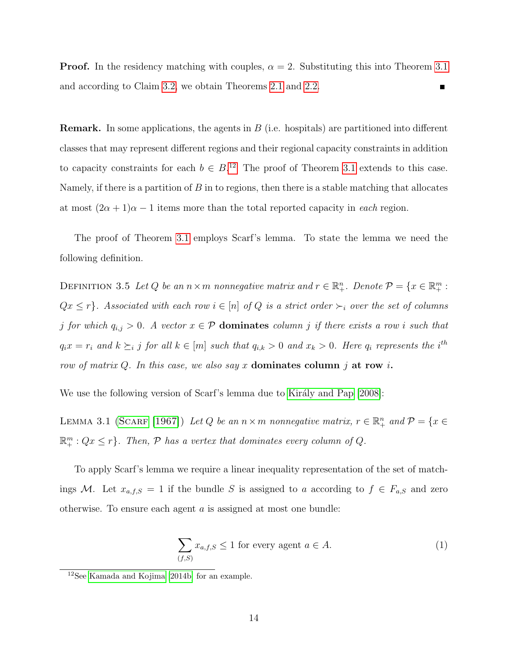**Proof.** In the residency matching with couples,  $\alpha = 2$ . Substituting this into Theorem [3.1](#page-13-1) and according to Claim [3.2,](#page-13-0) we obtain Theorems [2.1](#page-8-0) and [2.2.](#page-8-2)  $\blacksquare$ 

**Remark.** In some applications, the agents in  $B$  (i.e. hospitals) are partitioned into different classes that may represent different regions and their regional capacity constraints in addition to capacity constraints for each  $b \in B^{12}$  $b \in B^{12}$  $b \in B^{12}$ . The proof of Theorem [3.1](#page-13-1) extends to this case. Namely, if there is a partition of  $B$  in to regions, then there is a stable matching that allocates at most  $(2\alpha + 1)\alpha - 1$  items more than the total reported capacity in *each* region.

The proof of Theorem [3.1](#page-13-1) employs Scarf's lemma. To state the lemma we need the following definition.

DEFINITION 3.5 Let Q be an  $n \times m$  nonnegative matrix and  $r \in \mathbb{R}^n_+$ . Denote  $\mathcal{P} = \{x \in \mathbb{R}^m_+ :$  $Qx \leq r$ . Associated with each row  $i \in [n]$  of Q is a strict order  $\succ_i$  over the set of columns j for which  $q_{i,j} > 0$ . A vector  $x \in \mathcal{P}$  dominates column j if there exists a row i such that  $q_ix = r_i$  and  $k \succeq_i j$  for all  $k \in [m]$  such that  $q_{i,k} > 0$  and  $x_k > 0$ . Here  $q_i$  represents the i<sup>th</sup> row of matrix Q. In this case, we also say x dominates column j at row i.

We use the following version of Scarf's lemma due to Király and Pap [\[2008\]](#page-33-7):

LEMMA 3.1 (SCARF [\[1967\]](#page-34-5)) Let Q be an  $n \times m$  nonnegative matrix,  $r \in \mathbb{R}_+^n$  and  $\mathcal{P} = \{x \in$  $\mathbb{R}^m_+$ :  $Qx \leq r$ . Then,  $P$  has a vertex that dominates every column of  $Q$ .

To apply Scarf's lemma we require a linear inequality representation of the set of matchings M. Let  $x_{a,f,S} = 1$  if the bundle S is assigned to a according to  $f \in F_{a,S}$  and zero otherwise. To ensure each agent  $\alpha$  is assigned at most one bundle:

<span id="page-14-2"></span><span id="page-14-1"></span>
$$
\sum_{(f,S)} x_{a,f,S} \le 1 \text{ for every agent } a \in A. \tag{1}
$$

<span id="page-14-0"></span><sup>12</sup>See [Kamada and Kojima](#page-33-5) [\[2014b\]](#page-33-5) for an example.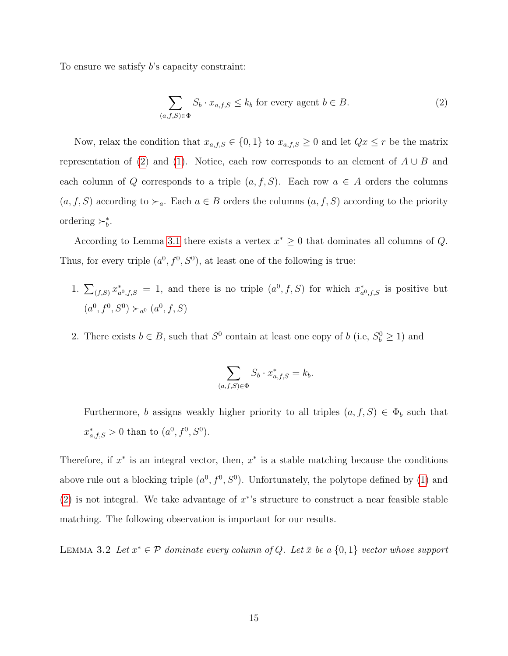To ensure we satisfy b's capacity constraint:

<span id="page-15-0"></span>
$$
\sum_{(a,f,S)\in\Phi} S_b \cdot x_{a,f,S} \le k_b \text{ for every agent } b \in B. \tag{2}
$$

Now, relax the condition that  $x_{a,f,S} \in \{0,1\}$  to  $x_{a,f,S} \geq 0$  and let  $Qx \leq r$  be the matrix representation of [\(2\)](#page-15-0) and [\(1\)](#page-14-1). Notice, each row corresponds to an element of  $A \cup B$  and each column of Q corresponds to a triple  $(a, f, S)$ . Each row  $a \in A$  orders the columns  $(a, f, S)$  according to  $\succ_a$ . Each  $a \in B$  orders the columns  $(a, f, S)$  according to the priority ordering  $\succ_b^*$ .

According to Lemma [3.1](#page-14-2) there exists a vertex  $x^* \geq 0$  that dominates all columns of Q. Thus, for every triple  $(a^0, f^0, S^0)$ , at least one of the following is true:

- 1.  $\sum_{(f,S)} x_a^*$  $\chi^*_{a^0,f,S} = 1$ , and there is no triple  $(a^0, f, S)$  for which  $x^*_{a^0,f,S}$  $_{a^0,f,S}^*$  is positive but  $(a^0, f^0, S^0) \succ_{a^0} (a^0, f, S)$
- 2. There exists  $b \in B$ , such that  $S^0$  contain at least one copy of b (i.e,  $S_b^0 \ge 1$ ) and

$$
\sum_{(a,f,S)\in\Phi} S_b \cdot x^*_{a,f,S} = k_b.
$$

Furthermore, b assigns weakly higher priority to all triples  $(a, f, S) \in \Phi_b$  such that  $x^*_{a,f,S} > 0$  than to  $(a^0, f^0, S^0)$ .

Therefore, if  $x^*$  is an integral vector, then,  $x^*$  is a stable matching because the conditions above rule out a blocking triple  $(a^0, f^0, S^0)$ . Unfortunately, the polytope defined by [\(1\)](#page-14-1) and [\(2\)](#page-15-0) is not integral. We take advantage of  $x^*$ 's structure to construct a near feasible stable matching. The following observation is important for our results.

<span id="page-15-1"></span>LEMMA 3.2 Let  $x^* \in \mathcal{P}$  dominate every column of Q. Let  $\bar{x}$  be a  $\{0,1\}$  vector whose support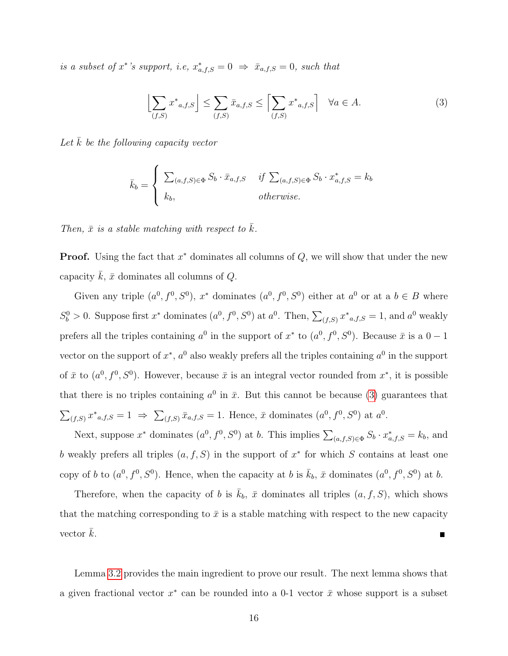is a subset of  $x^*$ 's support, i.e,  $x^*_{a,f,S} = 0 \Rightarrow \bar{x}_{a,f,S} = 0$ , such that

<span id="page-16-0"></span>
$$
\left[\sum_{(f,S)} x^*_{a,f,S}\right] \le \sum_{(f,S)} \bar{x}_{a,f,S} \le \left[\sum_{(f,S)} x^*_{a,f,S}\right] \quad \forall a \in A.
$$
 (3)

Let  $k$  be the following capacity vector

$$
\bar{k}_b = \begin{cases}\n\sum_{(a,f,S) \in \Phi} S_b \cdot \bar{x}_{a,f,S} & \text{if } \sum_{(a,f,S) \in \Phi} S_b \cdot x^*_{a,f,S} = k_b \\
k_b, & \text{otherwise.} \n\end{cases}
$$

Then,  $\bar{x}$  is a stable matching with respect to  $\bar{k}$ .

**Proof.** Using the fact that  $x^*$  dominates all columns of  $Q$ , we will show that under the new capacity  $k, \bar{x}$  dominates all columns of  $Q$ .

Given any triple  $(a^0, f^0, S^0)$ ,  $x^*$  dominates  $(a^0, f^0, S^0)$  either at  $a^0$  or at a  $b \in B$  where  $S_b^0 > 0$ . Suppose first  $x^*$  dominates  $(a^0, f^0, S^0)$  at  $a^0$ . Then,  $\sum_{(f,S)} x^*_{a,f,S} = 1$ , and  $a^0$  weakly prefers all the triples containing  $a^0$  in the support of  $x^*$  to  $(a^0, f^0, S^0)$ . Because  $\bar{x}$  is a  $0-1$ vector on the support of  $x^*$ ,  $a^0$  also weakly prefers all the triples containing  $a^0$  in the support of  $\bar{x}$  to  $(a^0, f^0, S^0)$ . However, because  $\bar{x}$  is an integral vector rounded from  $x^*$ , it is possible that there is no triples containing  $a^0$  in  $\bar{x}$ . But this cannot be because [\(3\)](#page-16-0) guarantees that  $\sum_{(f,S)} x^*_{a,f,S} = 1 \Rightarrow \sum_{(f,S)} \bar{x}_{a,f,S} = 1.$  Hence,  $\bar{x}$  dominates  $(a^0, f^0, S^0)$  at  $a^0$ .

Next, suppose  $x^*$  dominates  $(a^0, f^0, S^0)$  at b. This implies  $\sum_{(a,f,S)\in\Phi} S_b \cdot x^*_{a,f,S} = k_b$ , and b weakly prefers all triples  $(a, f, S)$  in the support of  $x^*$  for which S contains at least one copy of b to  $(a^0, f^0, S^0)$ . Hence, when the capacity at b is  $\bar{k}_b$ ,  $\bar{x}$  dominates  $(a^0, f^0, S^0)$  at b.

Therefore, when the capacity of b is  $k_b$ ,  $\bar{x}$  dominates all triples  $(a, f, S)$ , which shows that the matching corresponding to  $\bar{x}$  is a stable matching with respect to the new capacity vector  $\bar{k}$ . П

Lemma [3.2](#page-15-1) provides the main ingredient to prove our result. The next lemma shows that a given fractional vector  $x^*$  can be rounded into a 0-1 vector  $\bar{x}$  whose support is a subset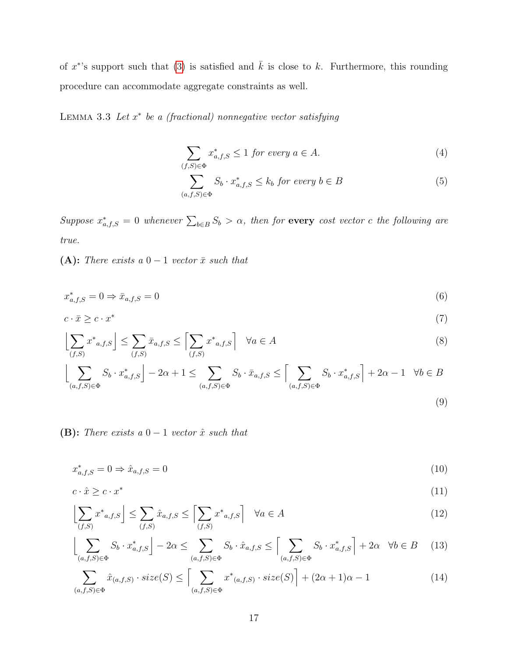of  $x^*$ 's support such that [\(3\)](#page-16-0) is satisfied and  $\overline{k}$  is close to k. Furthermore, this rounding procedure can accommodate aggregate constraints as well.

<span id="page-17-0"></span>LEMMA 3.3 Let  $x^*$  be a (fractional) nonnegative vector satisfying

$$
\sum_{(f,S)\in\Phi} x_{a,f,S}^* \le 1 \text{ for every } a \in A. \tag{4}
$$

<span id="page-17-4"></span><span id="page-17-3"></span><span id="page-17-2"></span>
$$
\sum_{(a,f,S)\in\Phi} S_b \cdot x^*_{a,f,S} \le k_b \text{ for every } b \in B
$$
 (5)

Suppose  $x^*_{a,f,S} = 0$  whenever  $\sum_{b \in B} S_b > \alpha$ , then for every cost vector c the following are true.

(A): There exists a  $0-1$  vector  $\bar{x}$  such that

$$
x_{a,f,S}^* = 0 \Rightarrow \bar{x}_{a,f,S} = 0 \tag{6}
$$

$$
c \cdot \bar{x} \geq c \cdot x^* \tag{7}
$$

$$
\left\lfloor \sum_{(f,S)} x^*_{a,f,S} \right\rfloor \le \sum_{(f,S)} \bar{x}_{a,f,S} \le \left\lceil \sum_{(f,S)} x^*_{a,f,S} \right\rceil \quad \forall a \in A \tag{8}
$$

$$
\left\lfloor \sum_{(a,f,S)\in\Phi} S_b \cdot x^*_{a,f,S} \right\rfloor - 2\alpha + 1 \le \sum_{(a,f,S)\in\Phi} S_b \cdot \bar{x}_{a,f,S} \le \left\lceil \sum_{(a,f,S)\in\Phi} S_b \cdot x^*_{a,f,S} \right\rceil + 2\alpha - 1 \quad \forall b \in B
$$
\n(9)

(B): There exists a  $0-1$  vector  $\hat{x}$  such that

<span id="page-17-5"></span>
$$
x_{a,f,S}^* = 0 \Rightarrow \hat{x}_{a,f,S} = 0 \tag{10}
$$

$$
c \cdot \hat{x} \geq c \cdot x^* \tag{11}
$$

$$
\left[\sum_{(f,S)} x^*_{a,f,S}\right] \le \sum_{(f,S)} \hat{x}_{a,f,S} \le \left[\sum_{(f,S)} x^*_{a,f,S}\right] \quad \forall a \in A
$$
\n(12)

<span id="page-17-1"></span>
$$
\left\lfloor \sum_{(a,f,S)\in\Phi} S_b \cdot x^*_{a,f,S} \right\rfloor - 2\alpha \le \sum_{(a,f,S)\in\Phi} S_b \cdot \hat{x}_{a,f,S} \le \left\lceil \sum_{(a,f,S)\in\Phi} S_b \cdot x^*_{a,f,S} \right\rceil + 2\alpha \quad \forall b \in B \tag{13}
$$

<span id="page-17-6"></span>
$$
\sum_{(a,f,S)\in\Phi} \hat{x}_{(a,f,S)} \cdot size(S) \le \left[ \sum_{(a,f,S)\in\Phi} x^*_{(a,f,S)} \cdot size(S) \right] + (2\alpha + 1)\alpha - 1 \tag{14}
$$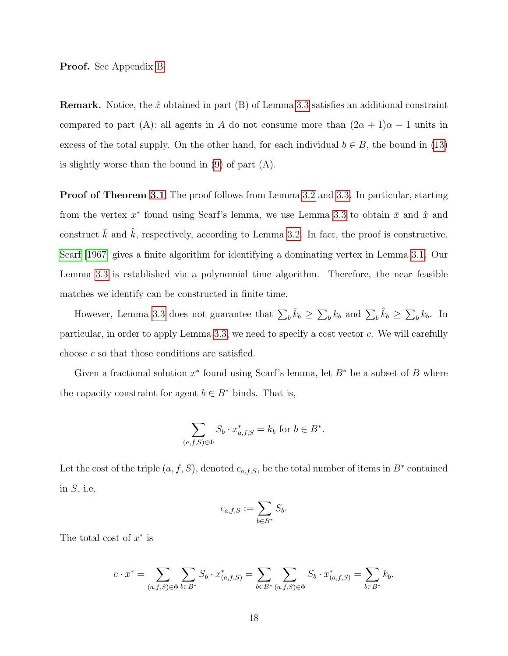Proof. See Appendix [B.](#page-37-0)

**Remark.** Notice, the  $\hat{x}$  obtained in part (B) of Lemma [3.3](#page-17-0) satisfies an additional constraint compared to part (A): all agents in A do not consume more than  $(2\alpha + 1)\alpha - 1$  units in excess of the total supply. On the other hand, for each individual  $b \in B$ , the bound in [\(13\)](#page-17-1) is slightly worse than the bound in [\(9\)](#page-17-2) of part (A).

Proof of Theorem [3.1](#page-13-1) The proof follows from Lemma [3.2](#page-15-1) and [3.3.](#page-17-0) In particular, starting from the vertex  $x^*$  found using Scarf's lemma, we use Lemma [3.3](#page-17-0) to obtain  $\bar{x}$  and  $\hat{x}$  and construct  $\bar{k}$  and  $\hat{k}$ , respectively, according to Lemma [3.2.](#page-15-1) In fact, the proof is constructive. [Scarf](#page-34-5) [\[1967\]](#page-34-5) gives a finite algorithm for identifying a dominating vertex in Lemma [3.1.](#page-14-2) Our Lemma [3.3](#page-17-0) is established via a polynomial time algorithm. Therefore, the near feasible matches we identify can be constructed in finite time.

However, Lemma [3.3](#page-17-0) does not guarantee that  $\sum_b \bar{k}_b \geq \sum_b k_b$  and  $\sum_b \hat{k}_b \geq \sum_b k_b$ . In particular, in order to apply Lemma [3.3,](#page-17-0) we need to specify a cost vector  $c$ . We will carefully choose c so that those conditions are satisfied.

Given a fractional solution  $x^*$  found using Scarf's lemma, let  $B^*$  be a subset of B where the capacity constraint for agent  $b \in B^*$  binds. That is,

$$
\sum_{(a,f,S)\in\Phi} S_b \cdot x^*_{a,f,S} = k_b \text{ for } b \in B^*.
$$

Let the cost of the triple  $(a, f, S)$ , denoted  $c_{a,f,S}$ , be the total number of items in  $B^*$  contained in  $S$ , i.e.

$$
c_{a,f,S} := \sum_{b \in B^*} S_b.
$$

The total cost of  $x^*$  is

$$
c \cdot x^* = \sum_{(a,f,S) \in \Phi} \sum_{b \in B^*} S_b \cdot x^*_{(a,f,S)} = \sum_{b \in B^*} \sum_{(a,f,S) \in \Phi} S_b \cdot x^*_{(a,f,S)} = \sum_{b \in B^*} k_b.
$$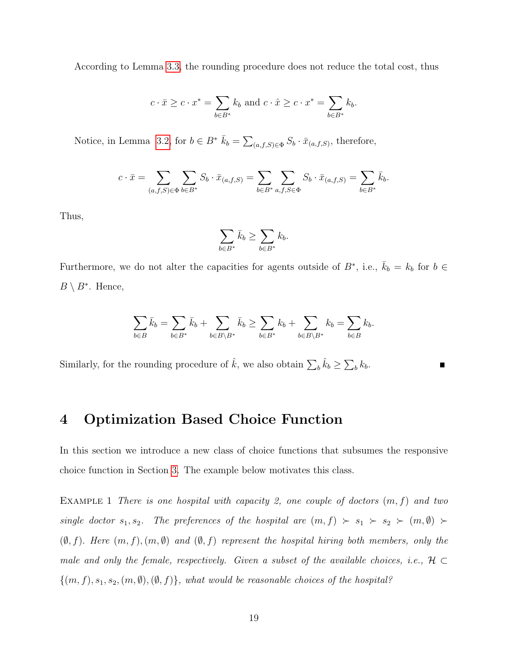According to Lemma [3.3,](#page-17-0) the rounding procedure does not reduce the total cost, thus

$$
c \cdot \bar{x} \ge c \cdot x^* = \sum_{b \in B^*} k_b \text{ and } c \cdot \hat{x} \ge c \cdot x^* = \sum_{b \in B^*} k_b.
$$

Notice, in Lemma [3.2,](#page-15-1) for  $b \in B^*$   $\bar{k}_b = \sum_{(a,f,S) \in \Phi} S_b \cdot \bar{x}_{(a,f,S)}$ , therefore,

$$
c \cdot \bar{x} = \sum_{(a,f,S) \in \Phi} \sum_{b \in B^*} S_b \cdot \bar{x}_{(a,f,S)} = \sum_{b \in B^*} \sum_{a,f,S \in \Phi} S_b \cdot \bar{x}_{(a,f,S)} = \sum_{b \in B^*} \bar{k}_b.
$$

Thus,

$$
\sum_{b \in B^*} \bar{k}_b \ge \sum_{b \in B^*} k_b.
$$

Furthermore, we do not alter the capacities for agents outside of  $B^*$ , i.e.,  $\bar{k}_b = k_b$  for  $b \in$  $B \setminus B^*$ . Hence,

$$
\sum_{b\in B} \bar{k}_b = \sum_{b\in B^*} \bar{k}_b + \sum_{b\in B\setminus B^*} \bar{k}_b \ge \sum_{b\in B^*} k_b + \sum_{b\in B\setminus B^*} k_b = \sum_{b\in B} k_b.
$$

Similarly, for the rounding procedure of  $\hat{k}$ , we also obtain  $\sum_{b} \hat{k}_{b} \ge \sum_{b} k_{b}$ .

# <span id="page-19-0"></span>4 Optimization Based Choice Function

In this section we introduce a new class of choice functions that subsumes the responsive choice function in Section [3.](#page-9-0) The example below motivates this class.

<span id="page-19-1"></span>EXAMPLE 1 There is one hospital with capacity 2, one couple of doctors  $(m, f)$  and two single doctor  $s_1, s_2$ . The preferences of the hospital are  $(m, f) > s_1 > s_2 > (m, \emptyset) >$  $(\emptyset, f)$ . Here  $(m, f), (m, \emptyset)$  and  $(\emptyset, f)$  represent the hospital hiring both members, only the male and only the female, respectively. Given a subset of the available choices, i.e.,  $H \subset$  ${(m, f), s_1, s_2, (m, \emptyset), (\emptyset, f)}$ , what would be reasonable choices of the hospital?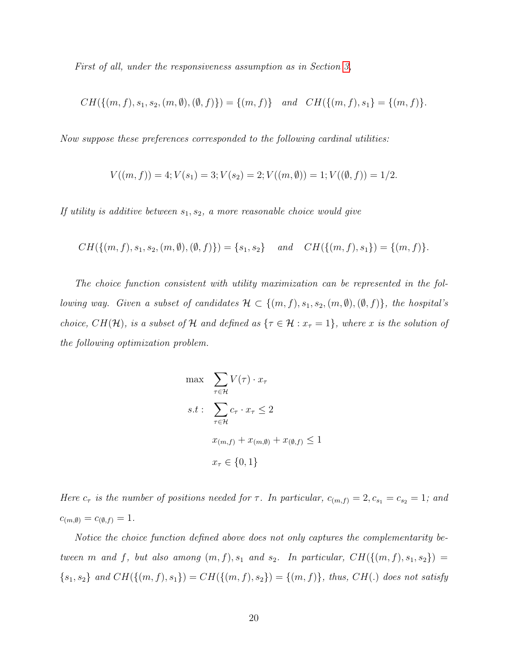First of all, under the responsiveness assumption as in Section [3,](#page-9-0)

$$
CH({{(m,f),s_1,s_2,(m,\emptyset),(\emptyset,f)}}) = {(m,f)} \quad and \quad CH({{(m,f),s_1}}) = {(m,f)}.
$$

Now suppose these preferences corresponded to the following cardinal utilities:

$$
V((m, f)) = 4; V(s1) = 3; V(s2) = 2; V((m, \emptyset)) = 1; V((\emptyset, f)) = 1/2.
$$

If utility is additive between  $s_1, s_2, a$  more reasonable choice would give

$$
CH({{(m,f),s_1,s_2,(m,\emptyset),(\emptyset,f)}}) = {s_1,s_2} \quad and \quad CH({{(m,f),s_1}) = {(m,f)}}.
$$

The choice function consistent with utility maximization can be represented in the following way. Given a subset of candidates  $\mathcal{H} \subset \{(m, f), s_1, s_2, (m, \emptyset), (\emptyset, f)\}$ , the hospital's choice,  $CH(H)$ , is a subset of H and defined as  $\{\tau \in \mathcal{H} : x_{\tau} = 1\}$ , where x is the solution of the following optimization problem.

$$
\max \sum_{\tau \in \mathcal{H}} V(\tau) \cdot x_{\tau}
$$
\n
$$
s.t: \sum_{\tau \in \mathcal{H}} c_{\tau} \cdot x_{\tau} \le 2
$$
\n
$$
x_{(m,f)} + x_{(m, \emptyset)} + x_{(\emptyset, f)} \le 1
$$
\n
$$
x_{\tau} \in \{0, 1\}
$$

Here  $c_{\tau}$  is the number of positions needed for  $\tau$ . In particular,  $c_{(m,f)} = 2, c_{s_1} = c_{s_2} = 1$ ; and  $c_{(m, \emptyset)} = c_{(\emptyset, f)} = 1.$ 

Notice the choice function defined above does not only captures the complementarity between m and f, but also among  $(m, f), s_1$  and  $s_2$ . In particular,  $CH({(m, f), s_1, s_2}) =$  ${s_1, s_2}$  and  $CH({{(m, f), s_1}) = CH({{(m, f), s_2}) = {(m, f)}},$  thus,  $CH(.)$  does not satisfy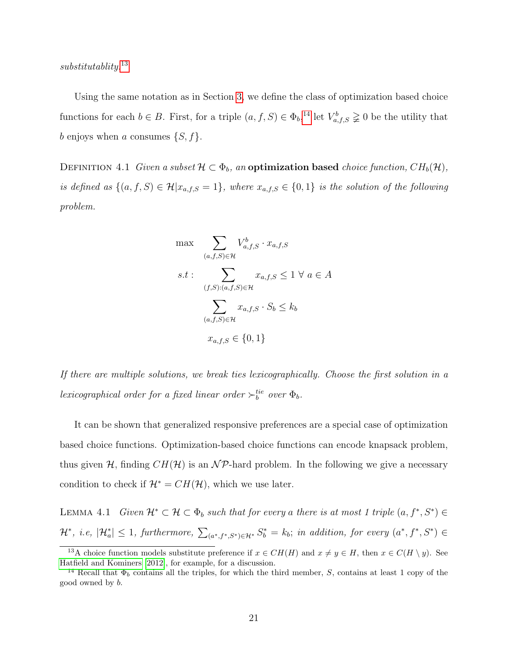substitutablity.<sup>[13](#page-21-0)</sup>

Using the same notation as in Section [3,](#page-9-0) we define the class of optimization based choice functions for each  $b \in B$ . First, for a triple  $(a, f, S) \in \Phi_b$ ,<sup>[14](#page-21-1)</sup> let  $V_{a,f,S}^b \geq 0$  be the utility that b enjoys when a consumes  $\{S, f\}.$ 

<span id="page-21-2"></span>DEFINITION 4.1 Given a subset  $\mathcal{H} \subset \Phi_b$ , an **optimization based** choice function,  $CH_b(\mathcal{H})$ , is defined as  $\{(a, f, S) \in \mathcal{H} | x_{a,f,S} = 1\}$ , where  $x_{a,f,S} \in \{0,1\}$  is the solution of the following problem.

$$
\max \sum_{(a,f,S)\in\mathcal{H}} V_{a,f,S}^b \cdot x_{a,f,S}
$$
\n
$$
s.t: \sum_{(f,S):(a,f,S)\in\mathcal{H}} x_{a,f,S} \le 1 \ \forall \ a \in A
$$
\n
$$
\sum_{(a,f,S)\in\mathcal{H}} x_{a,f,S} \cdot S_b \le k_b
$$
\n
$$
x_{a,f,S} \in \{0, 1\}
$$

If there are multiple solutions, we break ties lexicographically. Choose the first solution in a lexicographical order for a fixed linear order  $\succ_b^{tie}$  over  $\Phi_b$ .

It can be shown that generalized responsive preferences are a special case of optimization based choice functions. Optimization-based choice functions can encode knapsack problem, thus given H, finding  $CH(H)$  is an NP-hard problem. In the following we give a necessary condition to check if  $\mathcal{H}^* = CH(\mathcal{H})$ , which we use later.

<span id="page-21-3"></span>LEMMA 4.1 Given  $\mathcal{H}^* \subset \mathcal{H} \subset \Phi_b$  such that for every a there is at most 1 triple  $(a, f^*, S^*) \in$  $\mathcal{H}^*$ , i.e,  $|\mathcal{H}_a^*| \leq 1$ , furthermore,  $\sum_{(a^*,f^*,S^*)\in\mathcal{H}^*} S_b^* = k_b$ ; in addition, for every  $(a^*,f^*,S^*) \in$ 

<span id="page-21-0"></span><sup>&</sup>lt;sup>13</sup>A choice function models substitute preference if  $x \in CH(H)$  and  $x \neq y \in H$ , then  $x \in C(H \setminus y)$ . See [Hatfield and Kominers](#page-33-8) [\[2012\]](#page-33-8), for example, for a discussion.

<span id="page-21-1"></span><sup>&</sup>lt;sup>14</sup> Recall that  $\Phi_b$  contains all the triples, for which the third member, S, contains at least 1 copy of the good owned by b.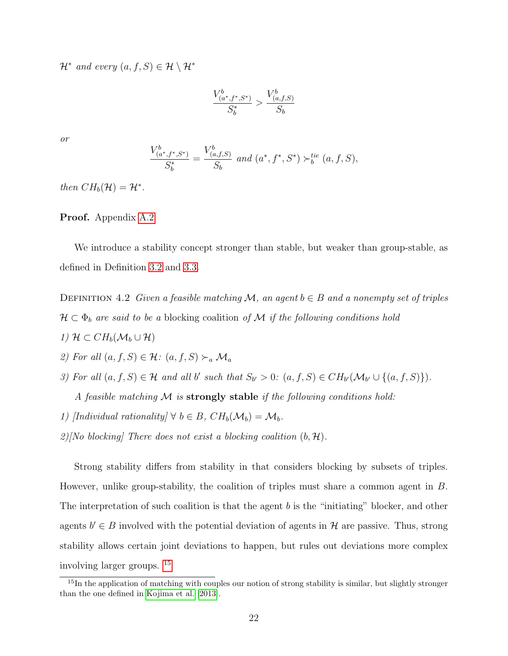$\mathcal{H}^*$  and every  $(a, f, S) \in \mathcal{H} \setminus \mathcal{H}^*$ 

$$
\frac{V_{(a^*,f^*,S^*)}^b}{S_b^*} > \frac{V_{(a,f,S)}^b}{S_b}
$$

or

$$
\frac{V_{(a^*,f^*,S^*)}^b}{S_b^*} = \frac{V_{(a,f,S)}^b}{S_b} \text{ and } (a^*,f^*,S^*) \succ_b^{tie} (a,f,S),
$$

then  $CH_b(\mathcal{H}) = \mathcal{H}^*$ .

Proof. Appendix [A.2](#page-36-0)

We introduce a stability concept stronger than stable, but weaker than group-stable, as defined in Definition [3.2](#page-10-1) and [3.3.](#page-11-2)

DEFINITION 4.2 Given a feasible matching M, an agent  $b \in B$  and a nonempty set of triples  $\mathcal{H} \subset \Phi_b$  are said to be a blocking coalition of M if the following conditions hold

- 1)  $\mathcal{H} \subset CH_b(\mathcal{M}_b \cup \mathcal{H})$
- 2) For all  $(a, f, S) \in \mathcal{H}$ :  $(a, f, S) \succ_a \mathcal{M}_a$
- 3) For all  $(a, f, S) \in \mathcal{H}$  and all b' such that  $S_{b'} > 0$ :  $(a, f, S) \in CH_{b'}(\mathcal{M}_{b'} \cup \{(a, f, S)\})$ .

A feasible matching  $M$  is strongly stable if the following conditions hold:

- 1) [Individual rationality]  $\forall b \in B$ ,  $CH_b(\mathcal{M}_b) = \mathcal{M}_b$ .
- 2)[No blocking] There does not exist a blocking coalition  $(b, \mathcal{H})$ .

Strong stability differs from stability in that considers blocking by subsets of triples. However, unlike group-stability, the coalition of triples must share a common agent in B. The interpretation of such coalition is that the agent  $b$  is the "initiating" blocker, and other agents  $b' \in B$  involved with the potential deviation of agents in H are passive. Thus, strong stability allows certain joint deviations to happen, but rules out deviations more complex involving larger groups. [15](#page-22-0)

<span id="page-22-0"></span><sup>&</sup>lt;sup>15</sup>In the application of matching with couples our notion of strong stability is similar, but slightly stronger than the one defined in [Kojima et al.](#page-34-2) [\[2013\]](#page-34-2).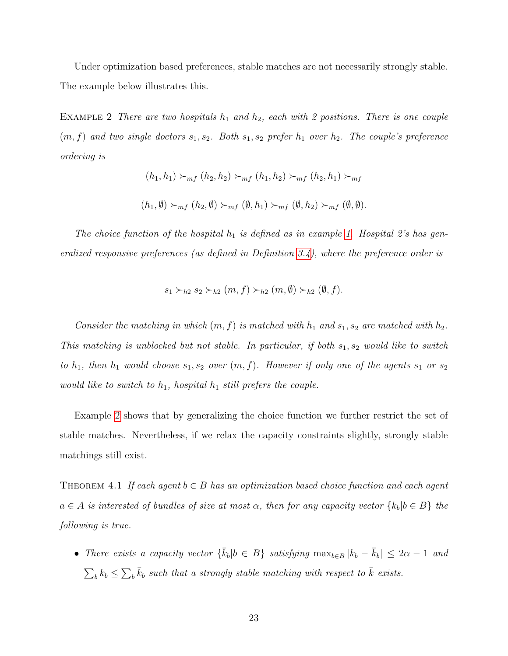Under optimization based preferences, stable matches are not necessarily strongly stable. The example below illustrates this.

<span id="page-23-0"></span>EXAMPLE 2 There are two hospitals  $h_1$  and  $h_2$ , each with 2 positions. There is one couple  $(m, f)$  and two single doctors  $s_1, s_2$ . Both  $s_1, s_2$  prefer  $h_1$  over  $h_2$ . The couple's preference ordering is

$$
(h_1, h_1) \succ_{mf} (h_2, h_2) \succ_{mf} (h_1, h_2) \succ_{mf} (h_2, h_1) \succ_{mf}
$$
  

$$
(h_1, \emptyset) \succ_{mf} (h_2, \emptyset) \succ_{mf} (\emptyset, h_1) \succ_{mf} (\emptyset, h_2) \succ_{mf} (\emptyset, \emptyset).
$$

The choice function of the hospital  $h_1$  is defined as in example [1.](#page-19-1) Hospital 2's has generalized responsive preferences (as defined in Definition [3.4\)](#page-11-0), where the preference order is

$$
s_1 \succ_{h2} s_2 \succ_{h2} (m, f) \succ_{h2} (m, \emptyset) \succ_{h2} (\emptyset, f).
$$

Consider the matching in which  $(m, f)$  is matched with  $h_1$  and  $s_1, s_2$  are matched with  $h_2$ . This matching is unblocked but not stable. In particular, if both  $s_1, s_2$  would like to switch to  $h_1$ , then  $h_1$  would choose  $s_1, s_2$  over  $(m, f)$ . However if only one of the agents  $s_1$  or  $s_2$ would like to switch to  $h_1$ , hospital  $h_1$  still prefers the couple.

Example [2](#page-23-0) shows that by generalizing the choice function we further restrict the set of stable matches. Nevertheless, if we relax the capacity constraints slightly, strongly stable matchings still exist.

THEOREM 4.1 If each agent  $b \in B$  has an optimization based choice function and each agent  $a \in A$  is interested of bundles of size at most  $\alpha$ , then for any capacity vector  $\{k_b | b \in B\}$  the following is true.

• There exists a capacity vector  $\{\bar{k}_b | b \in B\}$  satisfying  $\max_{b \in B} |k_b - \bar{k}_b| \leq 2\alpha - 1$  and  $\sum_{b} k_b \leq \sum_{b} \bar{k}_b$  such that a strongly stable matching with respect to  $\bar{k}$  exists.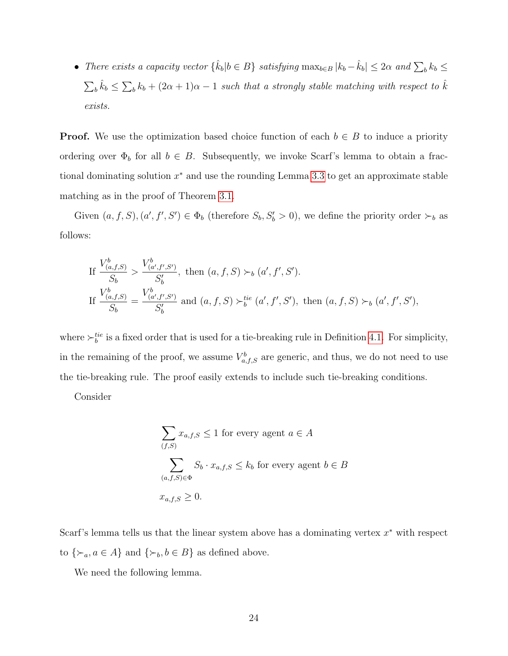• There exists a capacity vector  $\{\hat{k}_b | b \in B\}$  satisfying  $\max_{b \in B} |k_b - \hat{k}_b| \leq 2\alpha$  and  $\sum_b k_b \leq$  $\sum_{b} \hat{k}_{b} \leq \sum_{b} k_{b} + (2\alpha + 1)\alpha - 1$  such that a strongly stable matching with respect to  $\hat{k}$ exists.

**Proof.** We use the optimization based choice function of each  $b \in B$  to induce a priority ordering over  $\Phi_b$  for all  $b \in B$ . Subsequently, we invoke Scarf's lemma to obtain a fractional dominating solution  $x^*$  and use the rounding Lemma [3.3](#page-17-0) to get an approximate stable matching as in the proof of Theorem [3.1.](#page-13-1)

Given  $(a, f, S), (a', f', S') \in \Phi_b$  (therefore  $S_b, S'_b > 0$ ), we define the priority order  $\succ_b$  as follows:

If 
$$
\frac{V_{(a,f,S)}^b}{S_b} > \frac{V_{(a',f',S')}^b}{S'_b}
$$
, then  $(a, f, S) \succ_b (a', f', S')$ .  
\nIf  $\frac{V_{(a,f,S)}^b}{S_b} = \frac{V_{(a',f',S')}^b}{S'_b}$  and  $(a, f, S) \succ_b^{tie} (a', f', S')$ , then  $(a, f, S) \succ_b (a', f', S')$ ,

where  $\succ_b^{tie}$  is a fixed order that is used for a tie-breaking rule in Definition [4.1.](#page-21-2) For simplicity, in the remaining of the proof, we assume  $V_{a,f,S}^b$  are generic, and thus, we do not need to use the tie-breaking rule. The proof easily extends to include such tie-breaking conditions.

Consider

$$
\sum_{(f,S)} x_{a,f,S} \le 1 \text{ for every agent } a \in A
$$
  

$$
\sum_{(a,f,S) \in \Phi} S_b \cdot x_{a,f,S} \le k_b \text{ for every agent } b \in B
$$
  

$$
x_{a,f,S} \ge 0.
$$

Scarf's lemma tells us that the linear system above has a dominating vertex  $x^*$  with respect to  $\{\succ_a, a \in A\}$  and  $\{\succ_b, b \in B\}$  as defined above.

<span id="page-24-0"></span>We need the following lemma.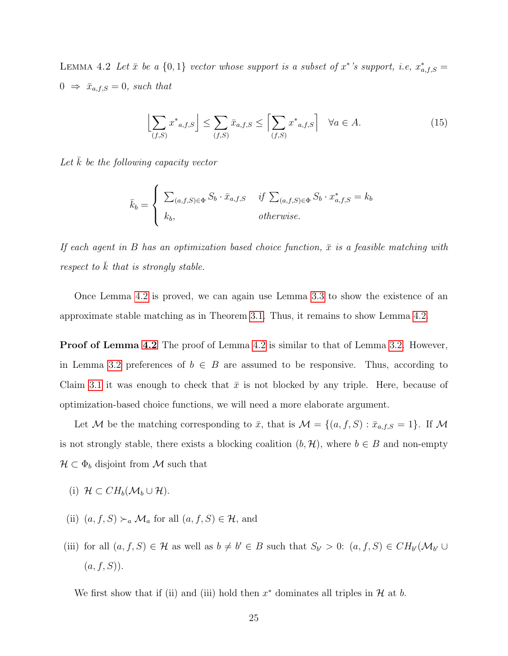LEMMA 4.2 Let  $\bar{x}$  be a  $\{0,1\}$  vector whose support is a subset of  $x^*$ 's support, i.e,  $x^*_{a,f,S}$  $0 \Rightarrow \bar{x}_{a,f,S} = 0$ , such that

$$
\left[\sum_{(f,S)} x^*_{a,f,S}\right] \le \sum_{(f,S)} \bar{x}_{a,f,S} \le \left[\sum_{(f,S)} x^*_{a,f,S}\right] \quad \forall a \in A.
$$
 (15)

Let  $k$  be the following capacity vector

$$
\bar{k}_b = \begin{cases}\n\sum_{(a,f,S) \in \Phi} S_b \cdot \bar{x}_{a,f,S} & \text{if } \sum_{(a,f,S) \in \Phi} S_b \cdot x^*_{a,f,S} = k_b \\
k_b, & \text{otherwise.} \n\end{cases}
$$

If each agent in B has an optimization based choice function,  $\bar{x}$  is a feasible matching with respect to  $\overline{k}$  that is strongly stable.

Once Lemma [4.2](#page-24-0) is proved, we can again use Lemma [3.3](#page-17-0) to show the existence of an approximate stable matching as in Theorem [3.1.](#page-13-1) Thus, it remains to show Lemma [4.2.](#page-24-0)

**Proof of Lemma [4.2](#page-24-0)** The proof of Lemma 4.2 is similar to that of Lemma [3.2.](#page-15-1) However, in Lemma [3.2](#page-15-1) preferences of  $b \in B$  are assumed to be responsive. Thus, according to Claim [3.1](#page-11-3) it was enough to check that  $\bar{x}$  is not blocked by any triple. Here, because of optimization-based choice functions, we will need a more elaborate argument.

Let M be the matching corresponding to  $\bar{x}$ , that is  $\mathcal{M} = \{(a, f, S) : \bar{x}_{a,f,S} = 1\}$ . If M is not strongly stable, there exists a blocking coalition  $(b, \mathcal{H})$ , where  $b \in B$  and non-empty  $\mathcal{H} \subset \Phi_b$  disjoint from M such that

- (i)  $\mathcal{H} \subset CH_b(\mathcal{M}_b \cup \mathcal{H}).$
- (ii)  $(a, f, S) \succ_a \mathcal{M}_a$  for all  $(a, f, S) \in \mathcal{H}$ , and
- (iii) for all  $(a, f, S) \in \mathcal{H}$  as well as  $b \neq b' \in B$  such that  $S_{b'} > 0$ :  $(a, f, S) \in CH_{b'}(\mathcal{M}_{b'} \cup$  $(a, f, S)$ ).

We first show that if (ii) and (iii) hold then  $x^*$  dominates all triples in  $\mathcal H$  at  $b$ .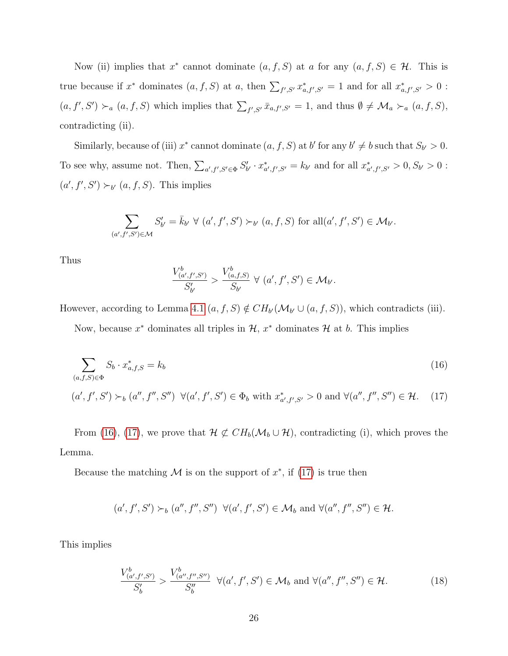Now (ii) implies that  $x^*$  cannot dominate  $(a, f, S)$  at a for any  $(a, f, S) \in \mathcal{H}$ . This is true because if  $x^*$  dominates  $(a, f, S)$  at  $a$ , then  $\sum_{f', S'} x^*_{a, f', S'} = 1$  and for all  $x^*_{a, f', S'} > 0$ :  $(a, f', S') \succ_a (a, f, S)$  which implies that  $\sum_{f', S'} \bar{x}_{a, f', S'} = 1$ , and thus  $\emptyset \neq \mathcal{M}_a \succ_a (a, f, S)$ , contradicting (ii).

Similarly, because of (iii)  $x^*$  cannot dominate  $(a, f, S)$  at b' for any  $b' \neq b$  such that  $S_{b'} > 0$ . To see why, assume not. Then,  $\sum_{a',f',S'\in\Phi} S'_{b'} \cdot x^*_{a',f',S'} = k_{b'}$  and for all  $x^*_{a',f',S'} > 0, S_{b'} > 0$ :  $(a', f', S') \succ_{b'} (a, f, S)$ . This implies

$$
\sum_{(a',f',S')\in\mathcal{M}} S'_{b'} = \bar{k}_{b'} \ \forall \ (a',f',S') \succ_{b'} (a,f,S) \text{ for all } (a',f',S') \in \mathcal{M}_{b'}.
$$

Thus

<span id="page-26-1"></span><span id="page-26-0"></span>
$$
\frac{V^b_{(a',f',S')}}{S'_{b'}} > \frac{V^b_{(a,f,S)}}{S_{b'}} \ \forall \ (a',f',S') \in \mathcal{M}_{b'}.
$$

However, according to Lemma [4.1](#page-21-3)  $(a, f, S) \notin CH_{b'}(\mathcal{M}_{b'} \cup (a, f, S))$ , which contradicts (iii).

Now, because  $x^*$  dominates all triples in  $\mathcal{H}, x^*$  dominates  $\mathcal{H}$  at b. This implies

$$
\sum_{(a,f,S)\in\Phi} S_b \cdot x^*_{a,f,S} = k_b
$$
\n
$$
(16)
$$
\n
$$
(a',f',S') \succ_b (a'',f'',S'') \quad \forall (a',f',S') \in \Phi_b \text{ with } x^*_{a',f',S'} > 0 \text{ and } \forall (a'',f'',S'') \in \mathcal{H}.
$$

From [\(16\)](#page-26-0), [\(17\)](#page-26-1), we prove that  $\mathcal{H} \not\subset CH_b(\mathcal{M}_b \cup \mathcal{H})$ , contradicting (i), which proves the Lemma.

Because the matching M is on the support of  $x^*$ , if [\(17\)](#page-26-1) is true then

$$
(a', f', S') \succ_b (a'', f'', S'')
$$
  $\forall (a', f', S') \in \mathcal{M}_b$  and  $\forall (a'', f'', S'') \in \mathcal{H}$ .

This implies

<span id="page-26-2"></span>
$$
\frac{V_{(a',f',S')}^b}{S_b'} > \frac{V_{(a'',f'',S'')}^b}{S_b''} \quad \forall (a',f',S') \in \mathcal{M}_b \text{ and } \forall (a'',f'',S'') \in \mathcal{H}.
$$
 (18)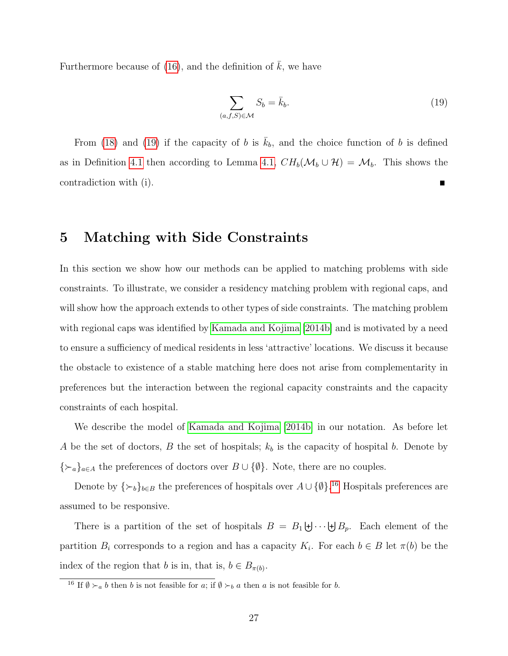Furthermore because of [\(16\)](#page-26-0), and the definition of  $\bar{k}$ , we have

<span id="page-27-1"></span>
$$
\sum_{(a,f,S)\in\mathcal{M}} S_b = \bar{k}_b. \tag{19}
$$

From [\(18\)](#page-26-2) and [\(19\)](#page-27-1) if the capacity of b is  $\bar{k}_b$ , and the choice function of b is defined as in Definition [4.1](#page-21-2) then according to Lemma [4.1,](#page-21-3)  $CH_b(\mathcal{M}_b \cup \mathcal{H}) = \mathcal{M}_b$ . This shows the contradiction with (i).  $\blacksquare$ 

# <span id="page-27-0"></span>5 Matching with Side Constraints

In this section we show how our methods can be applied to matching problems with side constraints. To illustrate, we consider a residency matching problem with regional caps, and will show how the approach extends to other types of side constraints. The matching problem with regional caps was identified by [Kamada and Kojima](#page-33-5) [\[2014b\]](#page-33-5) and is motivated by a need to ensure a sufficiency of medical residents in less 'attractive' locations. We discuss it because the obstacle to existence of a stable matching here does not arise from complementarity in preferences but the interaction between the regional capacity constraints and the capacity constraints of each hospital.

We describe the model of [Kamada and Kojima](#page-33-5) [\[2014b\]](#page-33-5) in our notation. As before let A be the set of doctors, B the set of hospitals;  $k_b$  is the capacity of hospital b. Denote by { $\succ_a$ }<sub>*a∈A*</sub> the preferences of doctors over  $B \cup \{\emptyset\}$ . Note, there are no couples.

Denote by  $\{\succ_b\}_{b\in B}$  the preferences of hospitals over  $A\cup \{\emptyset\}.$ <sup>[16](#page-27-2)</sup> Hospitals preferences are assumed to be responsive.

There is a partition of the set of hospitals  $B = B_1 \biguplus \cdots \biguplus B_p$ . Each element of the partition  $B_i$  corresponds to a region and has a capacity  $K_i$ . For each  $b \in B$  let  $\pi(b)$  be the index of the region that b is in, that is,  $b \in B_{\pi(b)}$ .

<span id="page-27-2"></span><sup>&</sup>lt;sup>16</sup> If  $\emptyset \succ_a b$  then b is not feasible for a; if  $\emptyset \succ_b a$  then a is not feasible for b.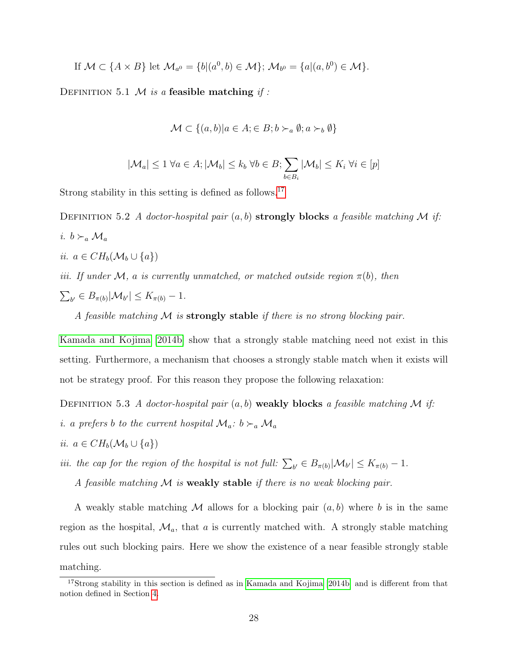If 
$$
\mathcal{M} \subset \{A \times B\}
$$
 let  $\mathcal{M}_{a^0} = \{b | (a^0, b) \in \mathcal{M}\}; \mathcal{M}_{b^0} = \{a | (a, b^0) \in \mathcal{M}\}.$ 

<span id="page-28-1"></span>DEFINITION 5.1 M is a feasible matching if :

<span id="page-28-2"></span>
$$
\mathcal{M} \subset \{(a, b) | a \in A; \in B; b \succ_a \emptyset; a \succ_b \emptyset\}
$$

$$
|\mathcal{M}_a| \le 1 \ \forall a \in A; |\mathcal{M}_b| \le k_b \ \forall b \in B; \sum_{b \in B_i} |\mathcal{M}_b| \le K_i \ \forall i \in [p]
$$

Strong stability in this setting is defined as follows.[17](#page-28-0)

DEFINITION 5.2 A doctor-hospital pair  $(a, b)$  strongly blocks a feasible matching M if: i.  $b \succ_a \mathcal{M}_a$ ii.  $a \in CH_b(\mathcal{M}_b \cup \{a\})$ iii. If under M, a is currently unmatched, or matched outside region  $\pi(b)$ , then  $\sum_{b'} \in B_{\pi(b)} |M_{b'}| \leq K_{\pi(b)} - 1.$ A feasible matching  $\mathcal M$  is strongly stable if there is no strong blocking pair.

[Kamada and Kojima](#page-33-5) [\[2014b\]](#page-33-5) show that a strongly stable matching need not exist in this setting. Furthermore, a mechanism that chooses a strongly stable match when it exists will not be strategy proof. For this reason they propose the following relaxation:

DEFINITION 5.3 A doctor-hospital pair  $(a, b)$  weakly blocks a feasible matching M if:

- *i. a prefers b to the current hospital*  $\mathcal{M}_a$ :  $b \succ_a \mathcal{M}_a$
- ii.  $a \in CH_b(\mathcal{M}_b \cup \{a\})$

iii. the cap for the region of the hospital is not full:  $\sum_{b'} \in B_{\pi(b)}|\mathcal{M}_{b'}| \le K_{\pi(b)} - 1$ .

A feasible matching  $\mathcal M$  is weakly stable if there is no weak blocking pair.

A weakly stable matching M allows for a blocking pair  $(a, b)$  where b is in the same region as the hospital,  $\mathcal{M}_a$ , that a is currently matched with. A strongly stable matching rules out such blocking pairs. Here we show the existence of a near feasible strongly stable matching.

<span id="page-28-0"></span><sup>&</sup>lt;sup>17</sup>Strong stability in this section is defined as in [Kamada and Kojima](#page-33-5) [\[2014b\]](#page-33-5) and is different from that notion defined in Section [4.](#page-19-0)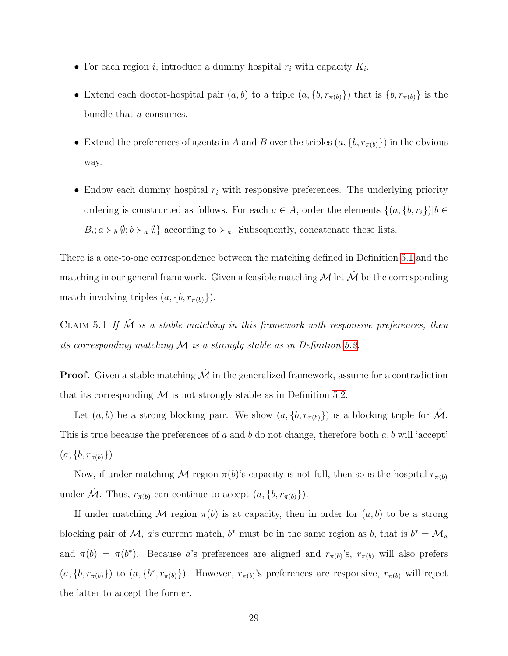- For each region *i*, introduce a dummy hospital  $r_i$  with capacity  $K_i$ .
- Extend each doctor-hospital pair  $(a, b)$  to a triple  $(a, \{b, r_{\pi(b)}\})$  that is  $\{b, r_{\pi(b)}\}$  is the bundle that a consumes.
- Extend the preferences of agents in A and B over the triples  $(a, \{b, r_{\pi(b)}\})$  in the obvious way.
- Endow each dummy hospital  $r_i$  with responsive preferences. The underlying priority ordering is constructed as follows. For each  $a \in A$ , order the elements  $\{(a, \{b, r_i\})|b \in A\}$  $B_i$ ;  $a \succ_b \emptyset$ ;  $b \succ_a \emptyset$ } according to  $\succ_a$ . Subsequently, concatenate these lists.

There is a one-to-one correspondence between the matching defined in Definition [5.1](#page-28-1) and the matching in our general framework. Given a feasible matching  $\mathcal M$  let  $\hat{\mathcal M}$  be the corresponding match involving triples  $(a, \{b, r_{\pi(b)}\})$ .

CLAIM 5.1 If  $\hat{\mathcal{M}}$  is a stable matching in this framework with responsive preferences, then its corresponding matching  $M$  is a strongly stable as in Definition [5.2.](#page-28-2)

**Proof.** Given a stable matching  $\hat{\mathcal{M}}$  in the generalized framework, assume for a contradiction that its corresponding  $M$  is not strongly stable as in Definition [5.2.](#page-28-2)

Let  $(a, b)$  be a strong blocking pair. We show  $(a, \{b, r_{\pi(b)}\})$  is a blocking triple for  $\hat{\mathcal{M}}$ . This is true because the preferences of a and b do not change, therefore both  $a, b$  will 'accept'  $(a, \{b, r_{\pi(b)}\}).$ 

Now, if under matching M region  $\pi(b)$ 's capacity is not full, then so is the hospital  $r_{\pi(b)}$ under  $\hat{\mathcal{M}}$ . Thus,  $r_{\pi(b)}$  can continue to accept  $(a, \{b, r_{\pi(b)}\})$ .

If under matching M region  $\pi(b)$  is at capacity, then in order for  $(a, b)$  to be a strong blocking pair of M, a's current match, b<sup>\*</sup> must be in the same region as b, that is  $b^* = \mathcal{M}_a$ and  $\pi(b) = \pi(b^*)$ . Because a's preferences are aligned and  $r_{\pi(b)}$ 's,  $r_{\pi(b)}$  will also prefers  $(a, \{b, r_{\pi(b)}\})$  to  $(a, \{b^*, r_{\pi(b)}\})$ . However,  $r_{\pi(b)}$ 's preferences are responsive,  $r_{\pi(b)}$  will reject the latter to accept the former.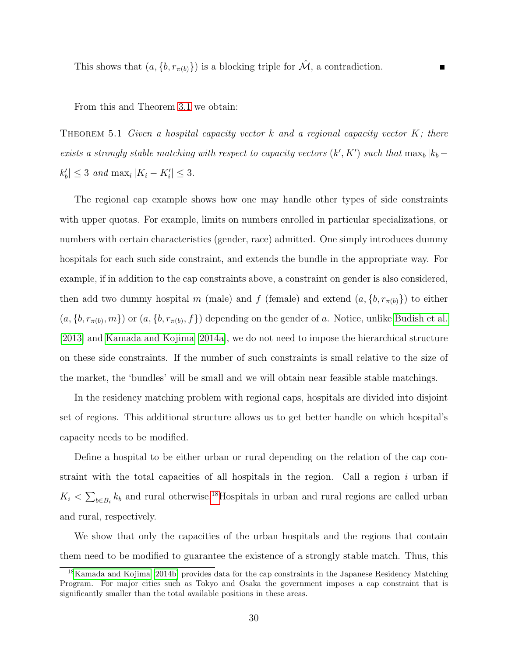From this and Theorem [3.1](#page-13-1) we obtain:

THEOREM 5.1 Given a hospital capacity vector  $k$  and a regional capacity vector  $K$ ; there exists a strongly stable matching with respect to capacity vectors  $(k', K')$  such that  $\max_b |k_b |k'_b| \leq 3$  and  $\max_i |K_i - K'_i| \leq 3$ .

The regional cap example shows how one may handle other types of side constraints with upper quotas. For example, limits on numbers enrolled in particular specializations, or numbers with certain characteristics (gender, race) admitted. One simply introduces dummy hospitals for each such side constraint, and extends the bundle in the appropriate way. For example, if in addition to the cap constraints above, a constraint on gender is also considered, then add two dummy hospital m (male) and f (female) and extend  $(a, \{b, r_{\pi(b)}\})$  to either  $(a, \{b, r_{\pi(b)}, m\})$  or  $(a, \{b, r_{\pi(b)}, f\})$  depending on the gender of a. Notice, unlike [Budish et al.](#page-32-9) [\[2013\]](#page-32-9) and [Kamada and Kojima](#page-33-9) [\[2014a\]](#page-33-9), we do not need to impose the hierarchical structure on these side constraints. If the number of such constraints is small relative to the size of the market, the 'bundles' will be small and we will obtain near feasible stable matchings.

In the residency matching problem with regional caps, hospitals are divided into disjoint set of regions. This additional structure allows us to get better handle on which hospital's capacity needs to be modified.

Define a hospital to be either urban or rural depending on the relation of the cap constraint with the total capacities of all hospitals in the region. Call a region  $i$  urban if  $K_i < \sum_{b \in B_i} k_b$  and rural otherwise.<sup>[18](#page-30-0)</sup>Hospitals in urban and rural regions are called urban and rural, respectively.

We show that only the capacities of the urban hospitals and the regions that contain them need to be modified to guarantee the existence of a strongly stable match. Thus, this

<span id="page-30-0"></span><sup>18</sup>[Kamada and Kojima](#page-33-5) [\[2014b\]](#page-33-5) provides data for the cap constraints in the Japanese Residency Matching Program. For major cities such as Tokyo and Osaka the government imposes a cap constraint that is significantly smaller than the total available positions in these areas.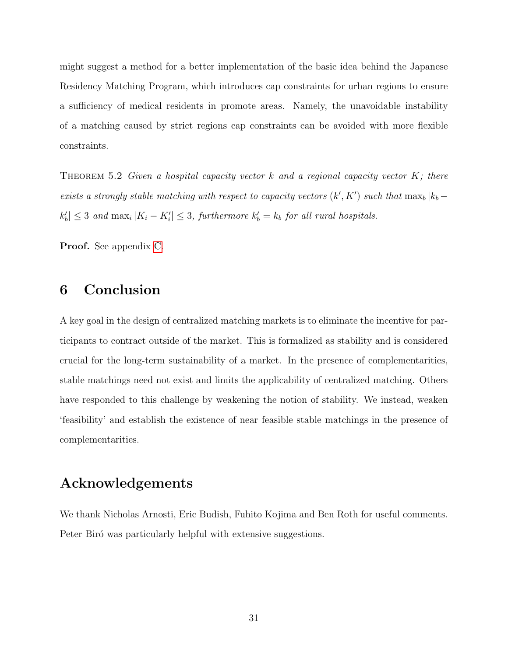might suggest a method for a better implementation of the basic idea behind the Japanese Residency Matching Program, which introduces cap constraints for urban regions to ensure a sufficiency of medical residents in promote areas. Namely, the unavoidable instability of a matching caused by strict regions cap constraints can be avoided with more flexible constraints.

<span id="page-31-1"></span>THEOREM 5.2 Given a hospital capacity vector  $k$  and a regional capacity vector  $K$ ; there exists a strongly stable matching with respect to capacity vectors  $(k', K')$  such that  $\max_b |k_b |k'_b| \leq 3$  and  $\max_i |K_i - K'_i| \leq 3$ , furthermore  $k'_b = k_b$  for all rural hospitals.

Proof. See appendix [C.](#page-48-0)

# <span id="page-31-0"></span>6 Conclusion

A key goal in the design of centralized matching markets is to eliminate the incentive for participants to contract outside of the market. This is formalized as stability and is considered crucial for the long-term sustainability of a market. In the presence of complementarities, stable matchings need not exist and limits the applicability of centralized matching. Others have responded to this challenge by weakening the notion of stability. We instead, weaken 'feasibility' and establish the existence of near feasible stable matchings in the presence of complementarities.

# Acknowledgements

We thank Nicholas Arnosti, Eric Budish, Fuhito Kojima and Ben Roth for useful comments. Peter Biró was particularly helpful with extensive suggestions.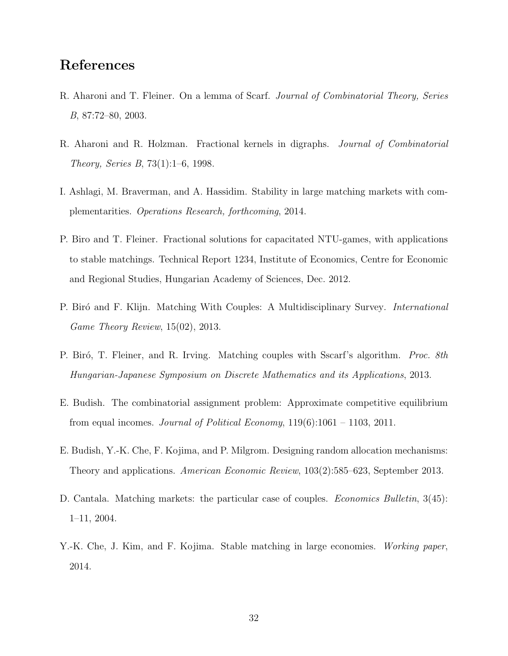# References

- <span id="page-32-7"></span>R. Aharoni and T. Fleiner. On a lemma of Scarf. Journal of Combinatorial Theory, Series B, 87:72–80, 2003.
- <span id="page-32-6"></span>R. Aharoni and R. Holzman. Fractional kernels in digraphs. Journal of Combinatorial Theory, Series B, 73(1):1–6, 1998.
- <span id="page-32-1"></span>I. Ashlagi, M. Braverman, and A. Hassidim. Stability in large matching markets with complementarities. Operations Research, forthcoming, 2014.
- <span id="page-32-8"></span>P. Biro and T. Fleiner. Fractional solutions for capacitated NTU-games, with applications to stable matchings. Technical Report 1234, Institute of Economics, Centre for Economic and Regional Studies, Hungarian Academy of Sciences, Dec. 2012.
- <span id="page-32-3"></span>P. Biró and F. Klijn. Matching With Couples: A Multidisciplinary Survey. *International* Game Theory Review, 15(02), 2013.
- <span id="page-32-4"></span>P. Biró, T. Fleiner, and R. Irving. Matching couples with Sscarf's algorithm. Proc. 8th Hungarian-Japanese Symposium on Discrete Mathematics and its Applications, 2013.
- <span id="page-32-2"></span>E. Budish. The combinatorial assignment problem: Approximate competitive equilibrium from equal incomes. Journal of Political Economy,  $119(6):1061 - 1103$ ,  $2011$ .
- <span id="page-32-9"></span>E. Budish, Y.-K. Che, F. Kojima, and P. Milgrom. Designing random allocation mechanisms: Theory and applications. American Economic Review, 103(2):585–623, September 2013.
- <span id="page-32-5"></span>D. Cantala. Matching markets: the particular case of couples. *Economics Bulletin*, 3(45): 1–11, 2004.
- <span id="page-32-0"></span>Y.-K. Che, J. Kim, and F. Kojima. Stable matching in large economies. Working paper, 2014.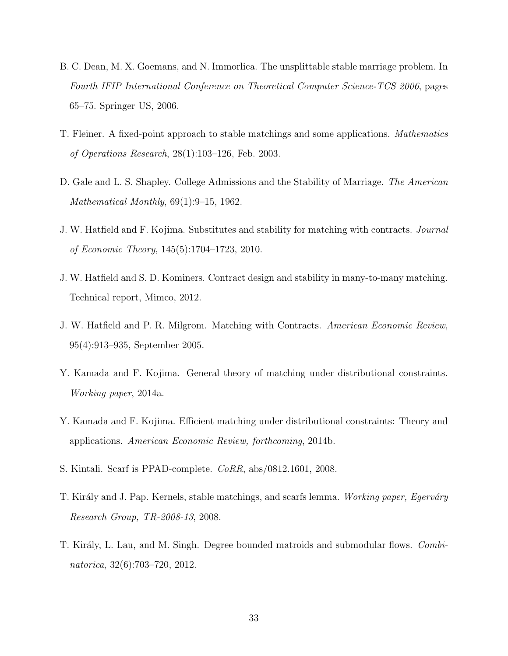- <span id="page-33-4"></span>B. C. Dean, M. X. Goemans, and N. Immorlica. The unsplittable stable marriage problem. In Fourth IFIP International Conference on Theoretical Computer Science-TCS 2006, pages 65–75. Springer US, 2006.
- <span id="page-33-1"></span>T. Fleiner. A fixed-point approach to stable matchings and some applications. Mathematics of Operations Research, 28(1):103–126, Feb. 2003.
- <span id="page-33-0"></span>D. Gale and L. S. Shapley. College Admissions and the Stability of Marriage. The American Mathematical Monthly, 69(1):9–15, 1962.
- <span id="page-33-3"></span>J. W. Hatfield and F. Kojima. Substitutes and stability for matching with contracts. Journal of Economic Theory, 145(5):1704–1723, 2010.
- <span id="page-33-8"></span>J. W. Hatfield and S. D. Kominers. Contract design and stability in many-to-many matching. Technical report, Mimeo, 2012.
- <span id="page-33-2"></span>J. W. Hatfield and P. R. Milgrom. Matching with Contracts. American Economic Review, 95(4):913–935, September 2005.
- <span id="page-33-9"></span>Y. Kamada and F. Kojima. General theory of matching under distributional constraints. Working paper, 2014a.
- <span id="page-33-5"></span>Y. Kamada and F. Kojima. Efficient matching under distributional constraints: Theory and applications. American Economic Review, forthcoming, 2014b.
- <span id="page-33-6"></span>S. Kintali. Scarf is PPAD-complete. CoRR, abs/0812.1601, 2008.
- <span id="page-33-7"></span>T. Király and J. Pap. Kernels, stable matchings, and scarfs lemma. Working paper, Egerváry Research Group, TR-2008-13, 2008.
- <span id="page-33-10"></span>T. Király, L. Lau, and M. Singh. Degree bounded matroids and submodular flows. Combinatorica, 32(6):703–720, 2012.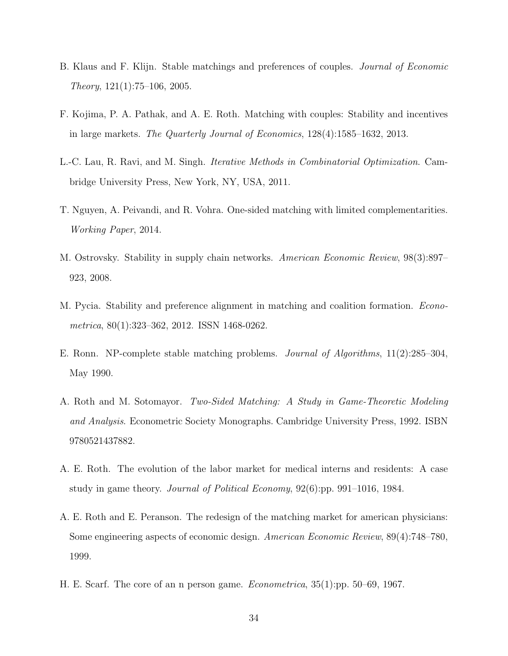- <span id="page-34-8"></span>B. Klaus and F. Klijn. Stable matchings and preferences of couples. *Journal of Economic* Theory, 121(1):75–106, 2005.
- <span id="page-34-2"></span>F. Kojima, P. A. Pathak, and A. E. Roth. Matching with couples: Stability and incentives in large markets. The Quarterly Journal of Economics, 128(4):1585–1632, 2013.
- <span id="page-34-6"></span>L.-C. Lau, R. Ravi, and M. Singh. Iterative Methods in Combinatorial Optimization. Cambridge University Press, New York, NY, USA, 2011.
- <span id="page-34-7"></span>T. Nguyen, A. Peivandi, and R. Vohra. One-sided matching with limited complementarities. Working Paper, 2014.
- <span id="page-34-0"></span>M. Ostrovsky. Stability in supply chain networks. American Economic Review, 98(3):897– 923, 2008.
- <span id="page-34-9"></span>M. Pycia. Stability and preference alignment in matching and coalition formation. Econometrica, 80(1):323–362, 2012. ISSN 1468-0262.
- <span id="page-34-3"></span>E. Ronn. NP-complete stable matching problems. Journal of Algorithms, 11(2):285–304, May 1990.
- <span id="page-34-10"></span>A. Roth and M. Sotomayor. Two-Sided Matching: A Study in Game-Theoretic Modeling and Analysis. Econometric Society Monographs. Cambridge University Press, 1992. ISBN 9780521437882.
- <span id="page-34-1"></span>A. E. Roth. The evolution of the labor market for medical interns and residents: A case study in game theory. Journal of Political Economy, 92(6):pp. 991–1016, 1984.
- <span id="page-34-4"></span>A. E. Roth and E. Peranson. The redesign of the matching market for american physicians: Some engineering aspects of economic design. American Economic Review, 89(4):748–780, 1999.
- <span id="page-34-5"></span>H. E. Scarf. The core of an n person game. Econometrica, 35(1):pp. 50–69, 1967.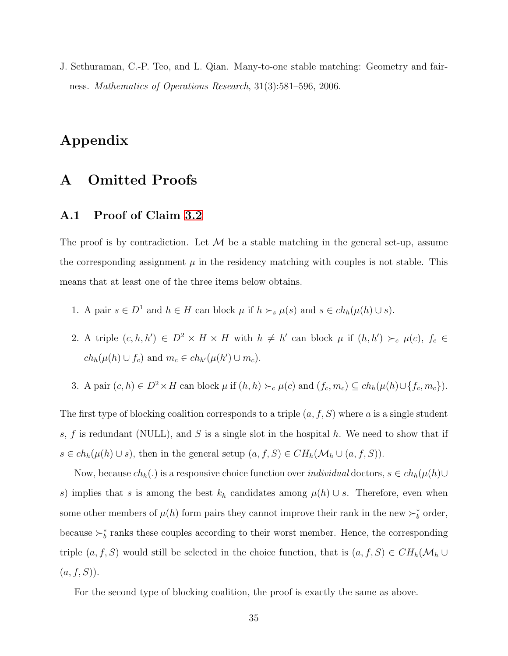<span id="page-35-0"></span>J. Sethuraman, C.-P. Teo, and L. Qian. Many-to-one stable matching: Geometry and fairness. Mathematics of Operations Research, 31(3):581–596, 2006.

# Appendix

# A Omitted Proofs

### <span id="page-35-1"></span>A.1 Proof of Claim [3.2](#page-13-0)

The proof is by contradiction. Let  $\mathcal M$  be a stable matching in the general set-up, assume the corresponding assignment  $\mu$  in the residency matching with couples is not stable. This means that at least one of the three items below obtains.

- 1. A pair  $s \in D^1$  and  $h \in H$  can block  $\mu$  if  $h \succ_s \mu(s)$  and  $s \in ch_h(\mu(h) \cup s)$ .
- 2. A triple  $(c, h, h') \in D^2 \times H \times H$  with  $h \neq h'$  can block  $\mu$  if  $(h, h') \succ_c \mu(c)$ ,  $f_c \in$  $ch_h(\mu(h) \cup f_c)$  and  $m_c \in ch_{h'}(\mu(h') \cup m_c)$ .
- 3. A pair  $(c, h) \in D^2 \times H$  can block  $\mu$  if  $(h, h) \succ_c \mu(c)$  and  $(f_c, m_c) \subseteq ch_h(\mu(h) \cup \{f_c, m_c\})$ .

The first type of blocking coalition corresponds to a triple  $(a, f, S)$  where a is a single student s, f is redundant (NULL), and S is a single slot in the hospital h. We need to show that if  $s \in ch_h(\mu(h) \cup s)$ , then in the general setup  $(a, f, S) \in CH_h(\mathcal{M}_h \cup (a, f, S))$ .

Now, because  $ch_h(.)$  is a responsive choice function over *individual* doctors,  $s \in ch_h(\mu(h) \cup$ s) implies that s is among the best  $k_h$  candidates among  $\mu(h) \cup s$ . Therefore, even when some other members of  $\mu(h)$  form pairs they cannot improve their rank in the new  $\succ_b^*$  order, because  $\succ_b^*$  ranks these couples according to their worst member. Hence, the corresponding triple  $(a, f, S)$  would still be selected in the choice function, that is  $(a, f, S) \in CH_h(\mathcal{M}_h \cup$  $(a, f, S)$ ).

For the second type of blocking coalition, the proof is exactly the same as above.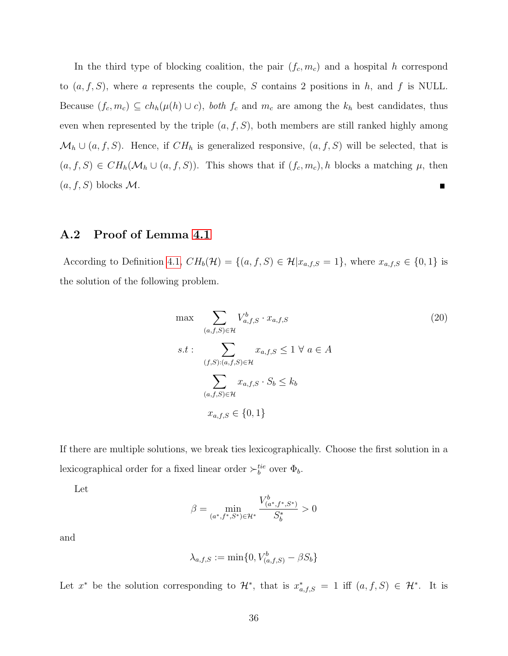In the third type of blocking coalition, the pair  $(f_c, m_c)$  and a hospital h correspond to  $(a, f, S)$ , where a represents the couple, S contains 2 positions in h, and f is NULL. Because  $(f_c, m_c) \subseteq ch_h(\mu(h) \cup c)$ , both  $f_c$  and  $m_c$  are among the  $k_h$  best candidates, thus even when represented by the triple  $(a, f, S)$ , both members are still ranked highly among  $\mathcal{M}_h \cup (a, f, S)$ . Hence, if  $CH_h$  is generalized responsive,  $(a, f, S)$  will be selected, that is  $(a, f, S) \in CH_h(\mathcal{M}_h \cup (a, f, S))$ . This shows that if  $(f_c, m_c)$ , h blocks a matching  $\mu$ , then  $(a, f, S)$  blocks M.

#### <span id="page-36-0"></span>A.2 Proof of Lemma [4.1](#page-21-3)

According to Definition [4.1,](#page-21-2)  $CH_b(\mathcal{H}) = \{(a, f, S) \in \mathcal{H} | x_{a,f,S} = 1\}$ , where  $x_{a,f,S} \in \{0,1\}$  is the solution of the following problem.

<span id="page-36-1"></span>
$$
\max \sum_{(a,f,S)\in\mathcal{H}} V_{a,f,S}^b \cdot x_{a,f,S}
$$
\n
$$
s.t: \sum_{(f,S):(a,f,S)\in\mathcal{H}} x_{a,f,S} \le 1 \ \forall \ a \in A
$$
\n
$$
\sum_{(a,f,S)\in\mathcal{H}} x_{a,f,S} \cdot S_b \le k_b
$$
\n
$$
x_{a,f,S} \in \{0, 1\}
$$
\n
$$
(20)
$$

If there are multiple solutions, we break ties lexicographically. Choose the first solution in a lexicographical order for a fixed linear order  $\succ_b^{tie}$  over  $\Phi_b$ .

Let

$$
\beta = \min_{(a^*, f^*, S^*) \in \mathcal{H}^*} \frac{V^b_{(a^*, f^*, S^*)}}{S_b^*} > 0
$$

and

$$
\lambda_{a,f,S} := \min\{0, V_{(a,f,S)}^b - \beta S_b\}
$$

Let  $x^*$  be the solution corresponding to  $\mathcal{H}^*$ , that is  $x^*_{a,f,S} = 1$  iff  $(a, f, S) \in \mathcal{H}^*$ . It is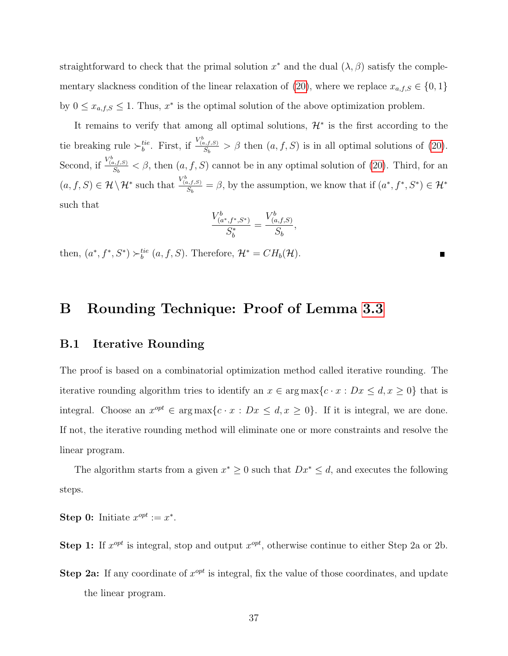straightforward to check that the primal solution  $x^*$  and the dual  $(\lambda, \beta)$  satisfy the comple-mentary slackness condition of the linear relaxation of [\(20\)](#page-36-1), where we replace  $x_{a,f,S} \in \{0,1\}$ by  $0 \leq x_{a,f,S} \leq 1$ . Thus,  $x^*$  is the optimal solution of the above optimization problem.

It remains to verify that among all optimal solutions,  $\mathcal{H}^*$  is the first according to the tie breaking rule  $\succ_b^{tie}$ . First, if  $\frac{V_{(a,f,S)}^b}{S_b} > \beta$  then  $(a, f, S)$  is in all optimal solutions of [\(20\)](#page-36-1). Second, if  $\frac{V_{(a,f,S)}^b}{S_b} < \beta$ , then  $(a, f, S)$  cannot be in any optimal solution of [\(20\)](#page-36-1). Third, for an  $(a, f, S) \in \mathcal{H} \setminus \mathcal{H}^*$  such that  $\frac{V_{(a, f, S)}^b}{S_b} = \beta$ , by the assumption, we know that if  $(a^*, f^*, S^*) \in \mathcal{H}^*$ such that

$$
\frac{V_{(a^*,f^*,S^*)}^b}{S_b^*} = \frac{V_{(a,f,S)}^b}{S_b}
$$

,

then,  $(a^*, f^*, S^*) \succ_b^{tie} (a, f, S)$ . Therefore,  $\mathcal{H}^* = CH_b(\mathcal{H})$ .

### <span id="page-37-0"></span>B Rounding Technique: Proof of Lemma [3.3](#page-17-0)

#### B.1 Iterative Rounding

The proof is based on a combinatorial optimization method called iterative rounding. The iterative rounding algorithm tries to identify an  $x \in \arg \max \{c \cdot x : Dx \le d, x \ge 0\}$  that is integral. Choose an  $x^{opt} \in \arg \max \{c \cdot x : Dx \le d, x \ge 0\}$ . If it is integral, we are done. If not, the iterative rounding method will eliminate one or more constraints and resolve the linear program.

The algorithm starts from a given  $x^* \geq 0$  such that  $Dx^* \leq d$ , and executes the following steps.

Step 0: Initiate  $x^{opt} := x^*$ .

**Step 1:** If  $x^{opt}$  is integral, stop and output  $x^{opt}$ , otherwise continue to either Step 2a or 2b.

Step 2a: If any coordinate of  $x^{opt}$  is integral, fix the value of those coordinates, and update the linear program.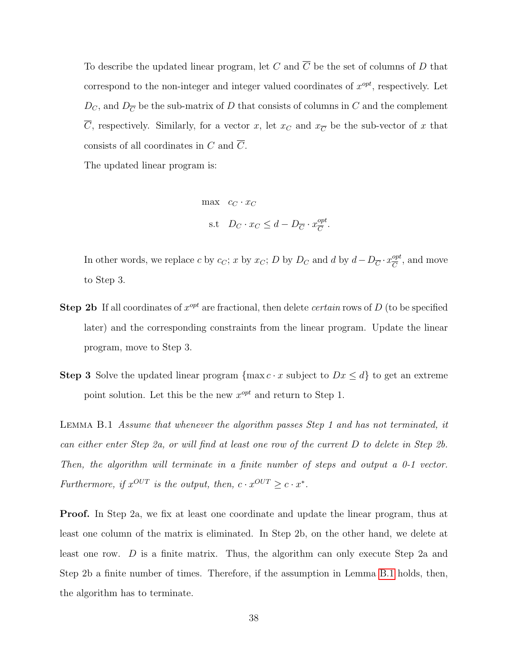To describe the updated linear program, let C and  $\overline{C}$  be the set of columns of D that correspond to the non-integer and integer valued coordinates of  $x^{opt}$ , respectively. Let  $D_C$ , and  $D_{\overline{C}}$  be the sub-matrix of D that consists of columns in C and the complement  $\overline{C}$ , respectively. Similarly, for a vector x, let  $x_C$  and  $x_{\overline{C}}$  be the sub-vector of x that consists of all coordinates in C and  $\overline{C}$ .

The updated linear program is:

$$
\begin{aligned}\n\max \quad & c_C \cdot x_C \\
\text{s.t} \quad & D_C \cdot x_C \le d - D_{\overline{C}} \cdot x_{\overline{C}}^{opt}.\n\end{aligned}
$$

In other words, we replace c by c<sub>C</sub>; x by x<sub>C</sub>; D by D<sub>C</sub> and d by  $d - D_{\overline{C}} \cdot x_{\overline{C}}^{opt}$  $\frac{opt}{C}$ , and move to Step 3.

- **Step 2b** If all coordinates of  $x^{opt}$  are fractional, then delete *certain* rows of D (to be specified later) and the corresponding constraints from the linear program. Update the linear program, move to Step 3.
- **Step 3** Solve the updated linear program {max  $c \cdot x$  subject to  $Dx \leq d$ } to get an extreme point solution. Let this be the new  $x^{opt}$  and return to Step 1.

<span id="page-38-0"></span>Lemma B.1 Assume that whenever the algorithm passes Step 1 and has not terminated, it can either enter Step 2a, or will find at least one row of the current D to delete in Step 2b. Then, the algorithm will terminate in a finite number of steps and output a 0-1 vector. Furthermore, if  $x^{OUT}$  is the output, then,  $c \cdot x^{OUT} \geq c \cdot x^*$ .

Proof. In Step 2a, we fix at least one coordinate and update the linear program, thus at least one column of the matrix is eliminated. In Step 2b, on the other hand, we delete at least one row. D is a finite matrix. Thus, the algorithm can only execute Step 2a and Step 2b a finite number of times. Therefore, if the assumption in Lemma [B.1](#page-38-0) holds, then, the algorithm has to terminate.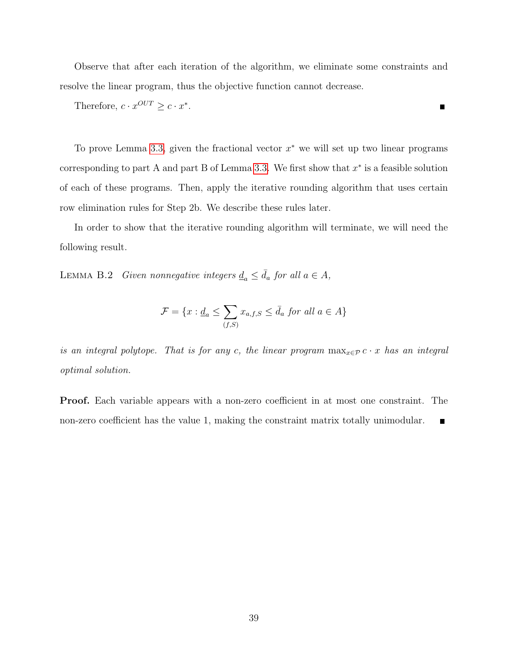Observe that after each iteration of the algorithm, we eliminate some constraints and resolve the linear program, thus the objective function cannot decrease.

Therefore, 
$$
c \cdot x^{OUT} \geq c \cdot x^*
$$
.

To prove Lemma [3.3,](#page-17-0) given the fractional vector  $x^*$  we will set up two linear programs corresponding to part A and part B of Lemma [3.3.](#page-17-0) We first show that  $x^*$  is a feasible solution of each of these programs. Then, apply the iterative rounding algorithm that uses certain row elimination rules for Step 2b. We describe these rules later.

<span id="page-39-0"></span>In order to show that the iterative rounding algorithm will terminate, we will need the following result.

LEMMA B.2 Given nonnegative integers  $\underline{d}_a \leq \overline{d}_a$  for all  $a \in A$ ,

$$
\mathcal{F} = \{x : \underline{d}_a \le \sum_{(f,S)} x_{a,f,S} \le \overline{d}_a \text{ for all } a \in A\}
$$

is an integral polytope. That is for any c, the linear program  $\max_{x \in \mathcal{P}} c \cdot x$  has an integral optimal solution.

Proof. Each variable appears with a non-zero coefficient in at most one constraint. The non-zero coefficient has the value 1, making the constraint matrix totally unimodular. П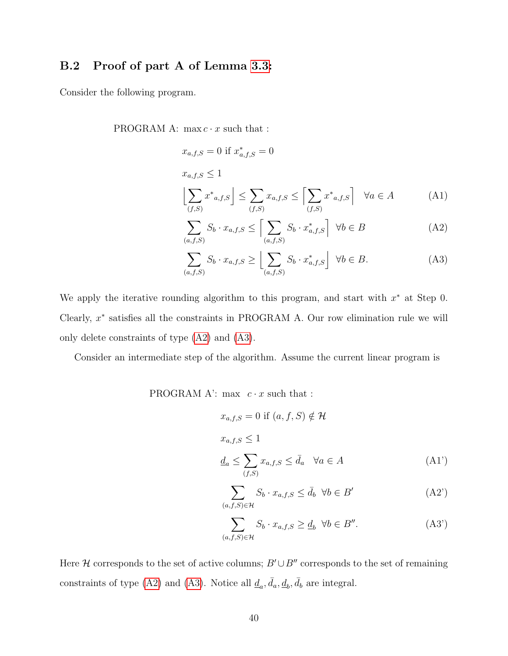### B.2 Proof of part A of Lemma [3.3:](#page-17-0)

Consider the following program.

PROGRAM A:  $\max c \cdot x$  such that :

$$
x_{a,f,S} = 0 \text{ if } x_{a,f,S}^* = 0
$$
  

$$
x_{a,f,S} \le 1
$$
  

$$
\left\lfloor \sum_{(f,S)} x^*_{a,f,S} \right\rfloor \le \sum_{(f,S)} x_{a,f,S} \le \left\lceil \sum_{(f,S)} x^*_{a,f,S} \right\rceil \quad \forall a \in A
$$
  
 (A1)

$$
\sum_{(a,f,S)} S_b \cdot x_{a,f,S} \le \left[ \sum_{(a,f,S)} S_b \cdot x_{a,f,S}^* \right] \ \forall b \in B \tag{A2}
$$

<span id="page-40-1"></span><span id="page-40-0"></span>
$$
\sum_{(a,f,S)} S_b \cdot x_{a,f,S} \ge \left\lfloor \sum_{(a,f,S)} S_b \cdot x_{a,f,S}^* \right\rfloor \ \forall b \in B. \tag{A3}
$$

We apply the iterative rounding algorithm to this program, and start with  $x^*$  at Step 0. Clearly,  $x^*$  satisfies all the constraints in PROGRAM A. Our row elimination rule we will only delete constraints of type [\(A2\)](#page-40-0) and [\(A3\)](#page-40-1).

Consider an intermediate step of the algorithm. Assume the current linear program is

PROGRAM A': max  $c \cdot x$  such that :

$$
x_{a,f,S} = 0 \text{ if } (a, f, S) \notin \mathcal{H}
$$
  

$$
x_{a,f,S} \le 1
$$
  

$$
\underline{d}_a \le \sum_{(f,S)} x_{a,f,S} \le \overline{d}_a \quad \forall a \in A
$$
 (A1')

<span id="page-40-4"></span><span id="page-40-2"></span>
$$
\sum_{(a,f,S)\in\mathcal{H}} S_b \cdot x_{a,f,S} \le \bar{d}_b \ \ \forall b \in B' \tag{A2'}
$$

<span id="page-40-3"></span>
$$
\sum_{(a,f,S)\in\mathcal{H}} S_b \cdot x_{a,f,S} \ge \underline{d}_b \ \ \forall b \in B''.
$$
 (A3')

Here  $\mathcal H$  corresponds to the set of active columns;  $B' \cup B''$  corresponds to the set of remaining constraints of type [\(A2\)](#page-40-0) and [\(A3\)](#page-40-1). Notice all  $\underline{d}_a$ ,  $\overline{d}_a$ ,  $\underline{d}_b$ ,  $\overline{d}_b$  are integral.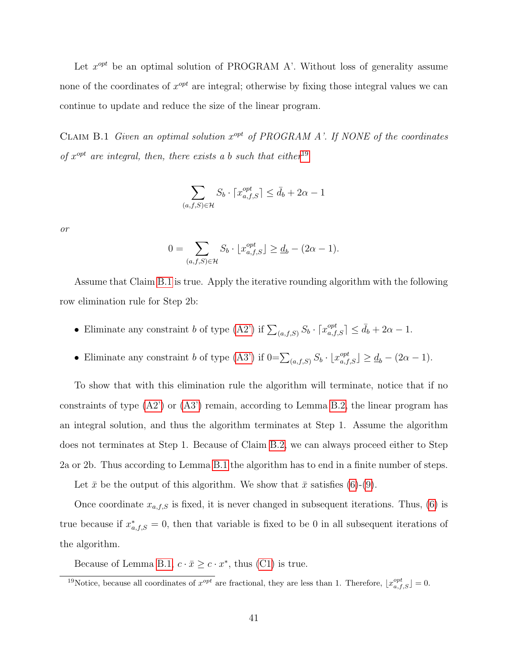Let  $x^{opt}$  be an optimal solution of PROGRAM A'. Without loss of generality assume none of the coordinates of  $x^{opt}$  are integral; otherwise by fixing those integral values we can continue to update and reduce the size of the linear program.

<span id="page-41-1"></span>CLAIM B.1 Given an optimal solution  $x^{opt}$  of PROGRAM A'. If NONE of the coordinates of  $x^{opt}$  are integral, then, there exists a b such that either<sup>[19](#page-41-0)</sup>

$$
\sum_{(a,f,S)\in\mathcal{H}} S_b \cdot \lceil x_{a,f,S}^{opt} \rceil \le \bar{d}_b + 2\alpha - 1
$$

or

$$
0 = \sum_{(a,f,S)\in\mathcal{H}} S_b \cdot \lfloor x_{a,f,S}^{opt} \rfloor \ge \underline{d}_b - (2\alpha - 1).
$$

Assume that Claim [B.1](#page-41-1) is true. Apply the iterative rounding algorithm with the following row elimination rule for Step 2b:

- Eliminate any constraint b of type [\(A2'\)](#page-40-2) if  $\sum_{(a,f,S)} S_b \cdot [x_{a,f,S}^{opt}] \le d_b + 2\alpha 1$ .
- Eliminate any constraint b of type [\(A3'\)](#page-40-3) if  $0 = \sum_{(a,f,S)} S_b \cdot \lfloor x_{a,f,S}^{opt} \rfloor \geq \underline{d}_b (2\alpha 1)$ .

To show that with this elimination rule the algorithm will terminate, notice that if no constraints of type  $(A2')$  or  $(A3')$  remain, according to Lemma [B.2,](#page-39-0) the linear program has an integral solution, and thus the algorithm terminates at Step 1. Assume the algorithm does not terminates at Step 1. Because of Claim [B.2,](#page-39-0) we can always proceed either to Step 2a or 2b. Thus according to Lemma [B.1](#page-38-0) the algorithm has to end in a finite number of steps.

Let  $\bar{x}$  be the output of this algorithm. We show that  $\bar{x}$  satisfies [\(6\)](#page-17-3)-[\(9\)](#page-17-2).

Once coordinate  $x_{a,f,S}$  is fixed, it is never changed in subsequent iterations. Thus, [\(6\)](#page-17-3) is true because if  $x^*_{a,f,S} = 0$ , then that variable is fixed to be 0 in all subsequent iterations of the algorithm.

Because of Lemma [B.1,](#page-38-0)  $c \cdot \bar{x} \geq c \cdot x^*$ , thus [\(C1\)](#page-50-0) is true.

<span id="page-41-0"></span><sup>&</sup>lt;sup>19</sup>Notice, because all coordinates of  $x^{opt}$  are fractional, they are less than 1. Therefore,  $\lfloor x_{a,f,S}^{opt} \rfloor = 0$ .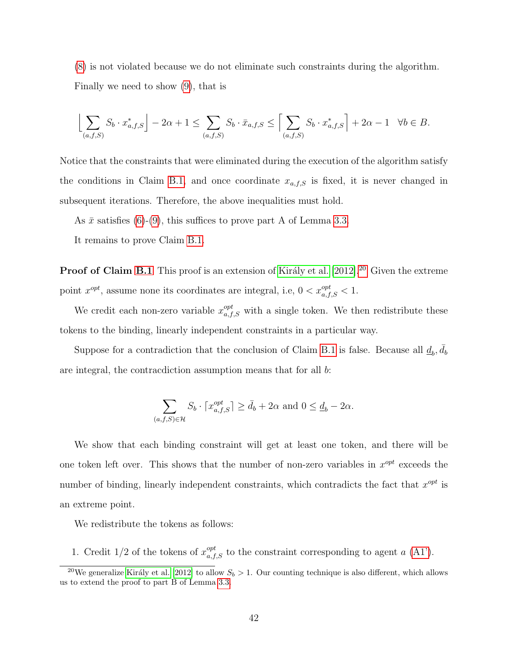[\(8\)](#page-17-4) is not violated because we do not eliminate such constraints during the algorithm. Finally we need to show [\(9\)](#page-17-2), that is

$$
\left\lfloor \sum_{(a,f,S)} S_b \cdot x^*_{a,f,S} \right\rfloor - 2\alpha + 1 \le \sum_{(a,f,S)} S_b \cdot \bar{x}_{a,f,S} \le \left\lceil \sum_{(a,f,S)} S_b \cdot x^*_{a,f,S} \right\rceil + 2\alpha - 1 \quad \forall b \in B.
$$

Notice that the constraints that were eliminated during the execution of the algorithm satisfy the conditions in Claim [B.1,](#page-41-1) and once coordinate  $x_{a,f,S}$  is fixed, it is never changed in subsequent iterations. Therefore, the above inequalities must hold.

As  $\bar{x}$  satisfies [\(6\)](#page-17-3)-[\(9\)](#page-17-2), this suffices to prove part A of Lemma [3.3.](#page-17-0)

It remains to prove Claim [B.1.](#page-41-1)

**Proof of Claim [B.1](#page-41-1)** This proof is an extension of Király et al. [\[2012\]](#page-33-10).<sup>[20](#page-42-0)</sup> Given the extreme point  $x^{opt}$ , assume none its coordinates are integral, i.e,  $0 < x_{a,f,S}^{opt} < 1$ .

We credit each non-zero variable  $x_{a,f,S}^{opt}$  with a single token. We then redistribute these tokens to the binding, linearly independent constraints in a particular way.

Suppose for a contradiction that the conclusion of Claim [B.1](#page-41-1) is false. Because all  $\underline{d}_b$ ,  $\overline{d}_b$ are integral, the contracdiction assumption means that for all b:

$$
\sum_{(a,f,S)\in\mathcal{H}} S_b \cdot \lceil x_{a,f,S}^{opt} \rceil \ge \bar{d}_b + 2\alpha \text{ and } 0 \le \underline{d}_b - 2\alpha.
$$

We show that each binding constraint will get at least one token, and there will be one token left over. This shows that the number of non-zero variables in  $x^{opt}$  exceeds the number of binding, linearly independent constraints, which contradicts the fact that  $x^{opt}$  is an extreme point.

We redistribute the tokens as follows:

1. Credit 1/2 of the tokens of  $x_{a,f,S}^{opt}$  to the constraint corresponding to agent a [\(A1'\)](#page-40-4).

<span id="page-42-0"></span><sup>&</sup>lt;sup>20</sup>We generalize Király et al. [\[2012\]](#page-33-10) to allow  $S_b > 1$ . Our counting technique is also different, which allows us to extend the proof to part B of Lemma [3.3.](#page-17-0)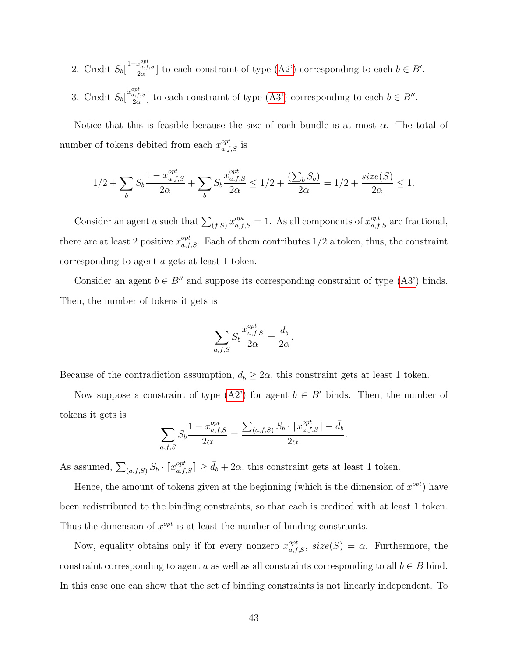2. Credit  $S_b\left[\frac{1-x_{a,f,S}^{opt}}{2\alpha}\right]$  to each constraint of type  $(A2')$  corresponding to each  $b \in B'$ .

3. Credit  $S_b\left[\frac{x_{a,f,S}^{opt}}{2\alpha}\right]$  to each constraint of type  $(A3')$  corresponding to each  $b \in B''$ .

Notice that this is feasible because the size of each bundle is at most  $\alpha$ . The total of number of tokens debited from each  $x_{a,f,S}^{opt}$  is

$$
1/2+\sum_bS_b\frac{1-x_{a,f,S}^{opt}}{2\alpha}+\sum_bS_b\frac{x_{a,f,S}^{opt}}{2\alpha}\leq 1/2+\frac{(\sum_bS_b)}{2\alpha}=1/2+\frac{size(S)}{2\alpha}\leq 1.
$$

Consider an agent a such that  $\sum_{(f,S)} x_{a,f,S}^{opt} = 1$ . As all components of  $x_{a,f,S}^{opt}$  are fractional, there are at least 2 positive  $x_{a,f,S}^{opt}$ . Each of them contributes  $1/2$  a token, thus, the constraint corresponding to agent a gets at least 1 token.

Consider an agent  $b \in B''$  and suppose its corresponding constraint of type [\(A3'\)](#page-40-3) binds. Then, the number of tokens it gets is

$$
\sum_{a,f,S} S_b \frac{x_{a,f,S}^{opt}}{2\alpha} = \frac{\underline{d}_b}{2\alpha}.
$$

Because of the contradiction assumption,  $\underline{d}_b \geq 2\alpha$ , this constraint gets at least 1 token.

Now suppose a constraint of type  $(A2')$  for agent  $b \in B'$  binds. Then, the number of tokens it gets is

$$
\sum_{a,f,S} S_b \frac{1 - x_{a,f,S}^{opt}}{2\alpha} = \frac{\sum_{(a,f,S)} S_b \cdot \lceil x_{a,f,S}^{opt} \rceil - \bar{d}_b}{2\alpha}.
$$

As assumed,  $\sum_{(a,f,S)} S_b \cdot [x_{a,f,S}^{opt}] \ge \bar{d}_b + 2\alpha$ , this constraint gets at least 1 token.

Hence, the amount of tokens given at the beginning (which is the dimension of  $x^{opt}$ ) have been redistributed to the binding constraints, so that each is credited with at least 1 token. Thus the dimension of  $x^{opt}$  is at least the number of binding constraints.

Now, equality obtains only if for every nonzero  $x_{a,f,S}^{opt}$ ,  $size(S) = \alpha$ . Furthermore, the constraint corresponding to agent a as well as all constraints corresponding to all  $b \in B$  bind. In this case one can show that the set of binding constraints is not linearly independent. To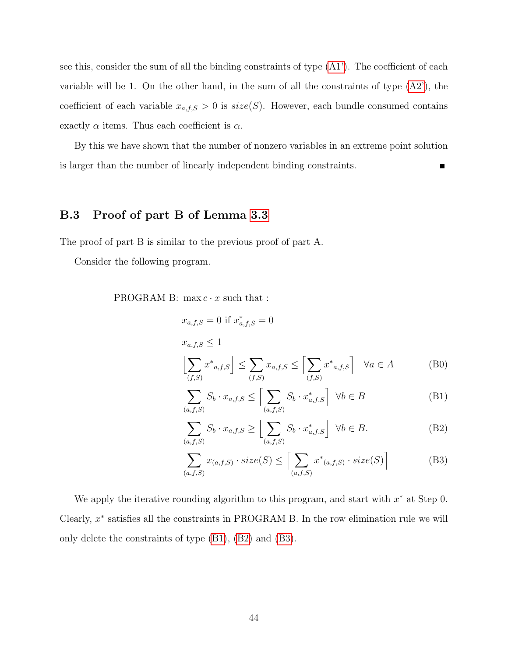see this, consider the sum of all the binding constraints of type [\(A1'\)](#page-40-4). The coefficient of each variable will be 1. On the other hand, in the sum of all the constraints of type  $(A2)$ , the coefficient of each variable  $x_{a,f,S} > 0$  is  $size(S)$ . However, each bundle consumed contains exactly  $\alpha$  items. Thus each coefficient is  $\alpha$ .

By this we have shown that the number of nonzero variables in an extreme point solution is larger than the number of linearly independent binding constraints. П

### B.3 Proof of part B of Lemma [3.3](#page-17-0)

The proof of part B is similar to the previous proof of part A.

Consider the following program.

PROGRAM B:  $\max c \cdot x$  such that :

$$
x_{a,f,S} = 0 \text{ if } x_{a,f,S}^* = 0
$$
  

$$
x_{a,f,S} \le 1
$$
  

$$
\left\lfloor \sum_{(f,S)} x^*_{a,f,S} \right\rfloor \le \sum_{(f,S)} x_{a,f,S} \le \left\lceil \sum_{(f,S)} x^*_{a,f,S} \right\rceil \quad \forall a \in A
$$
 (B0)

<span id="page-44-0"></span>
$$
\sum_{(a,f,S)} S_b \cdot x_{a,f,S} \le \left[ \sum_{(a,f,S)} S_b \cdot x_{a,f,S}^* \right] \ \forall b \in B \tag{B1}
$$

<span id="page-44-1"></span>
$$
\sum_{(a,f,S)} S_b \cdot x_{a,f,S} \ge \left\lfloor \sum_{(a,f,S)} S_b \cdot x_{a,f,S}^* \right\rfloor \ \forall b \in B. \tag{B2}
$$

<span id="page-44-2"></span>
$$
\sum_{(a,f,S)} x_{(a,f,S)} \cdot size(S) \le \left[ \sum_{(a,f,S)} x^*_{(a,f,S)} \cdot size(S) \right]
$$
 (B3)

We apply the iterative rounding algorithm to this program, and start with  $x^*$  at Step 0. Clearly,  $x^*$  satisfies all the constraints in PROGRAM B. In the row elimination rule we will only delete the constraints of type [\(B1\)](#page-44-0), [\(B2\)](#page-44-1) and [\(B3\)](#page-44-2).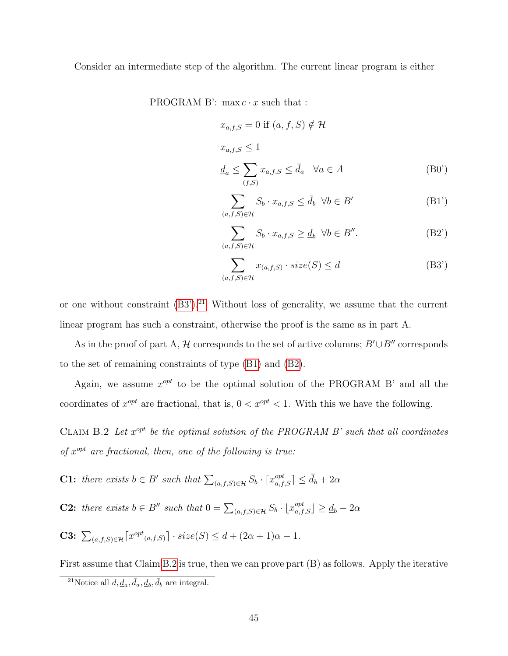Consider an intermediate step of the algorithm. The current linear program is either

PROGRAM B':  $\max c \cdot x$  such that :

<span id="page-45-5"></span>
$$
x_{a,f,S} = 0 \text{ if } (a, f, S) \notin \mathcal{H}
$$
  

$$
x_{a,f,S} \le 1
$$
  

$$
\underline{d}_a \le \sum_{(f,S)} x_{a,f,S} \le \overline{d}_a \quad \forall a \in A
$$
 (B0')

<span id="page-45-3"></span>
$$
\sum_{(a,f,S)\in\mathcal{H}} S_b \cdot x_{a,f,S} \le \bar{d}_b \ \forall b \in B' \tag{B1'}
$$

<span id="page-45-4"></span>
$$
\sum_{(a,f,S)\in\mathcal{H}} S_b \cdot x_{a,f,S} \ge \underline{d}_b \ \ \forall b \in B''.
$$
 (B2')

<span id="page-45-2"></span><span id="page-45-0"></span>
$$
\sum_{(a,f,S)\in\mathcal{H}} x_{(a,f,S)} \cdot size(S) \le d \tag{B3'}
$$

or one without constraint  $(B3')$ .<sup>[21](#page-45-1)</sup> Without loss of generality, we assume that the current linear program has such a constraint, otherwise the proof is the same as in part A.

As in the proof of part A, H corresponds to the set of active columns;  $B' \cup B''$  corresponds to the set of remaining constraints of type [\(B1\)](#page-44-0) and [\(B2\)](#page-44-1).

Again, we assume  $x^{opt}$  to be the optimal solution of the PROGRAM B' and all the coordinates of  $x^{opt}$  are fractional, that is,  $0 < x^{opt} < 1$ . With this we have the following.

CLAIM B.2 Let  $x^{opt}$  be the optimal solution of the PROGRAM B' such that all coordinates of  $x^{opt}$  are fractional, then, one of the following is true:

- **C1:** there exists  $b \in B'$  such that  $\sum_{(a,f,S) \in \mathcal{H}} S_b \cdot [x_{a,f,S}^{opt}] \le \bar{d}_b + 2\alpha$
- **C2:** there exists  $b \in B''$  such that  $0 = \sum_{(a,f,S) \in \mathcal{H}} S_b \cdot \lfloor x_{a,f,S}^{opt} \rfloor \geq d_b 2\alpha$
- **C3:**  $\sum_{(a,f,S)\in\mathcal{H}} \lceil x^{opt}(a,f,S) \rceil \cdot size(S) \leq d + (2\alpha+1)\alpha 1.$

First assume that Claim [B.2](#page-45-2) is true, then we can prove part (B) as follows. Apply the iterative

<span id="page-45-1"></span><sup>&</sup>lt;sup>21</sup>Notice all  $d, \underline{d}_a, \overline{d}_a, \underline{d}_b, \overline{d}_b$  are integral.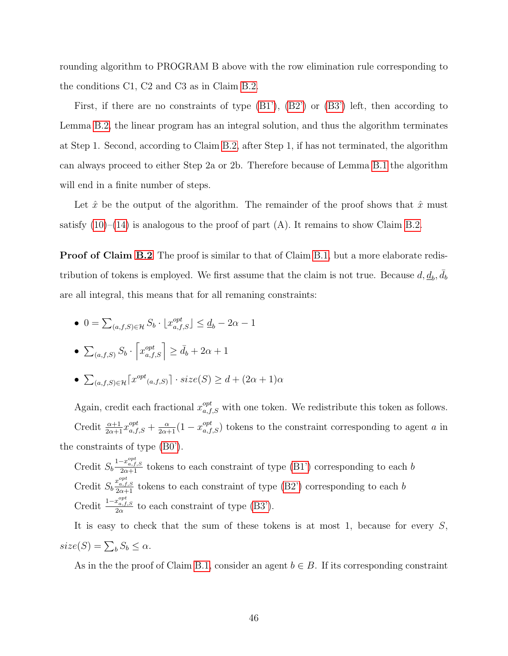rounding algorithm to PROGRAM B above with the row elimination rule corresponding to the conditions C1, C2 and C3 as in Claim [B.2.](#page-45-2)

First, if there are no constraints of type  $(B1')$ ,  $(B2')$  or  $(B3')$  left, then according to Lemma [B.2,](#page-39-0) the linear program has an integral solution, and thus the algorithm terminates at Step 1. Second, according to Claim [B.2,](#page-45-2) after Step 1, if has not terminated, the algorithm can always proceed to either Step 2a or 2b. Therefore because of Lemma [B.1](#page-38-0) the algorithm will end in a finite number of steps.

Let  $\hat{x}$  be the output of the algorithm. The remainder of the proof shows that  $\hat{x}$  must satisfy  $(10)$ – $(14)$  is analogous to the proof of part  $(A)$ . It remains to show Claim [B.2.](#page-45-2)

**Proof of Claim [B.2](#page-45-2)** The proof is similar to that of Claim [B.1,](#page-41-1) but a more elaborate redistribution of tokens is employed. We first assume that the claim is not true. Because  $d, \underline{d}_b, \overline{d}_b$ are all integral, this means that for all remaning constraints:

•  $0 = \sum_{(a,f,S)\in\mathcal{H}} S_b \cdot \lfloor x_{a,f,S}^{opt} \rfloor \leq \underline{d}_b - 2\alpha - 1$ 

$$
\bullet \sum_{(a,f,S)} S_b \cdot \left[ x_{a,f,S}^{opt} \right] \ge \bar{d}_b + 2\alpha + 1
$$

•  $\sum_{(a,f,S)\in\mathcal{H}} \lceil x^{opt}(a,f,S) \rceil \cdot size(S) \geq d + (2\alpha+1)\alpha$ 

Again, credit each fractional  $x_{a,f,S}^{opt}$  with one token. We redistribute this token as follows. Credit  $\frac{\alpha+1}{2\alpha+1}x_{a,f,S}^{opt}+\frac{\alpha}{2\alpha+1}(1-x_{a,f,S}^{opt})$  tokens to the constraint corresponding to agent a in the constraints of type [\(B0'\)](#page-45-5).

Credit  $S_b \frac{1-x_{a,f,S}^{opt}}{2\alpha+1}$  tokens to each constraint of type [\(B1'\)](#page-45-3) corresponding to each b Credit  $S_b \frac{x_{a,f,S}^{opt}}{2\alpha+1}$  tokens to each constraint of type [\(B2'\)](#page-45-4) corresponding to each b Credit  $\frac{1-x_{a,f,S}^{opt}}{2\alpha}$  to each constraint of type [\(B3'\)](#page-45-0).

It is easy to check that the sum of these tokens is at most 1, because for every  $S$ ,  $size(S) = \sum_{b} S_b \leq \alpha.$ 

As in the the proof of Claim [B.1,](#page-41-1) consider an agent  $b \in B$ . If its corresponding constraint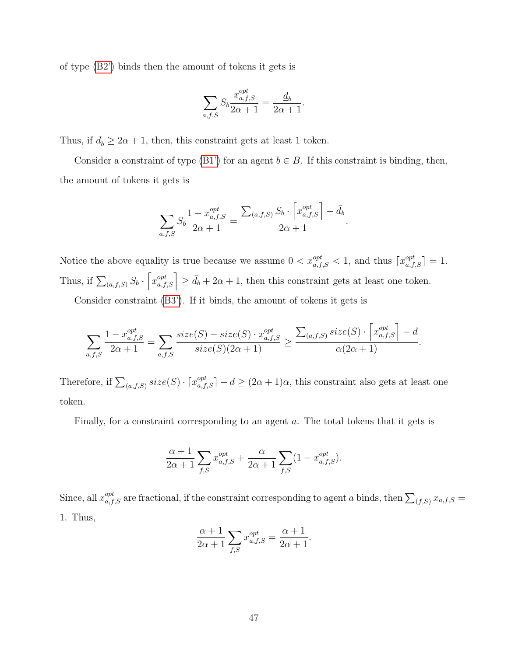of type [\(B2'\)](#page-45-4) binds then the amount of tokens it gets is

$$
\sum_{a,f,S} S_b \frac{x_{a,f,S}^{opt}}{2\alpha + 1} = \frac{\underline{d}_b}{2\alpha + 1}.
$$

Thus, if  $\underline{d}_b \geq 2\alpha + 1$ , then, this constraint gets at least 1 token.

Consider a constraint of type [\(B1'\)](#page-45-3) for an agent  $b \in B$ . If this constraint is binding, then, the amount of tokens it gets is

$$
\sum_{a,f,S} S_b \frac{1 - x_{a,f,S}^{opt}}{2\alpha + 1} = \frac{\sum_{(a,f,S)} S_b \cdot \left[x_{a,f,S}^{opt}\right] - \bar{d}_b}{2\alpha + 1}.
$$

Notice the above equality is true because we assume  $0 < x_{a,f,S}^{opt} < 1$ , and thus  $\lceil x_{a,f,S}^{opt} \rceil = 1$ . Thus, if  $\sum_{(a,f,S)} S_b \cdot \left[ x_{a,f,S}^{opt} \right] \ge d_b + 2\alpha + 1$ , then this constraint gets at least one token.

Consider constraint [\(B3'\)](#page-45-0). If it binds, the amount of tokens it gets is

$$
\sum_{a,f,S} \frac{1 - x_{a,f,S}^{opt}}{2\alpha + 1} = \sum_{a,f,S} \frac{size(S) - size(S) \cdot x_{a,f,S}^{opt}}{size(S)(2\alpha + 1)} \ge \frac{\sum_{(a,f,S)} size(S) \cdot \left[x_{a,f,S}^{opt}\right] - d}{\alpha(2\alpha + 1)}.
$$

Therefore, if  $\sum_{(a,f,S)} size(S) \cdot \lceil x_{a,f,S}^{opt} \rceil - d \geq (2\alpha+1)\alpha$ , this constraint also gets at least one token.

Finally, for a constraint corresponding to an agent a. The total tokens that it gets is

$$
\frac{\alpha+1}{2\alpha+1} \sum_{f,S} x_{a,f,S}^{opt} + \frac{\alpha}{2\alpha+1} \sum_{f,S} (1 - x_{a,f,S}^{opt}).
$$

Since, all  $x_{a,f,S}^{opt}$  are fractional, if the constraint corresponding to agent a binds, then  $\sum_{(f,S)} x_{a,f,S} =$ 1. Thus,

$$
\frac{\alpha+1}{2\alpha+1} \sum_{f,S} x_{a,f,S}^{opt} = \frac{\alpha+1}{2\alpha+1}.
$$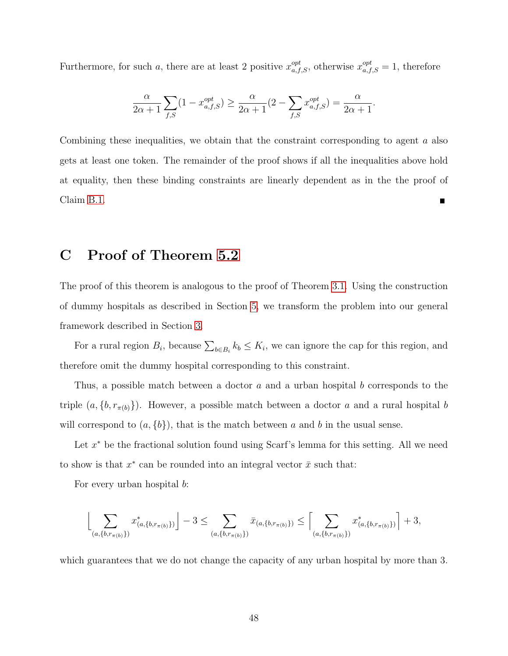Furthermore, for such a, there are at least 2 positive  $x_{a,f,S}^{opt}$ , otherwise  $x_{a,f,S}^{opt} = 1$ , therefore

$$
\frac{\alpha}{2\alpha+1} \sum_{f,S} (1 - x_{a,f,S}^{opt}) \ge \frac{\alpha}{2\alpha+1} (2 - \sum_{f,S} x_{a,f,S}^{opt}) = \frac{\alpha}{2\alpha+1}.
$$

Combining these inequalities, we obtain that the constraint corresponding to agent a also gets at least one token. The remainder of the proof shows if all the inequalities above hold at equality, then these binding constraints are linearly dependent as in the the proof of Claim [B.1.](#page-41-1) Ē

# <span id="page-48-0"></span>C Proof of Theorem [5.2](#page-31-1)

The proof of this theorem is analogous to the proof of Theorem [3.1.](#page-13-1) Using the construction of dummy hospitals as described in Section [5,](#page-27-0) we transform the problem into our general framework described in Section [3.](#page-9-0)

For a rural region  $B_i$ , because  $\sum_{b \in B_i} k_b \le K_i$ , we can ignore the cap for this region, and therefore omit the dummy hospital corresponding to this constraint.

Thus, a possible match between a doctor a and a urban hospital b corresponds to the triple  $(a, \{b, r_{\pi(b)}\})$ . However, a possible match between a doctor a and a rural hospital b will correspond to  $(a, \{b\})$ , that is the match between a and b in the usual sense.

Let  $x^*$  be the fractional solution found using Scarf's lemma for this setting. All we need to show is that  $x^*$  can be rounded into an integral vector  $\bar{x}$  such that:

For every urban hospital b:

$$
\Bigl\lfloor \sum_{(a,\{b,r_{\pi(b)}\})} x^*_{(a,\{b,r_{\pi(b)}\})} \Bigr\rfloor - 3 \le \sum_{(a,\{b,r_{\pi(b)}\})} \bar{x}_{(a,\{b,r_{\pi(b)}\})} \le \Bigl\lceil \sum_{(a,\{b,r_{\pi(b)}\})} x^*_{(a,\{b,r_{\pi(b)}\})} \Bigr\rceil + 3,
$$

which guarantees that we do not change the capacity of any urban hospital by more than 3.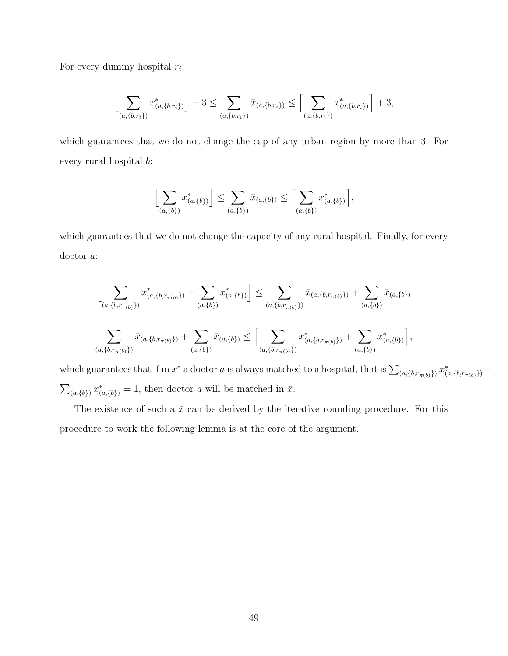For every dummy hospital  $r_i$ :

$$
\left\lfloor \sum_{(a,\{b,r_i\})} x^*_{(a,\{b,r_i\})} \right\rfloor - 3 \le \sum_{(a,\{b,r_i\})} \bar{x}_{(a,\{b,r_i\})} \le \left\lceil \sum_{(a,\{b,r_i\})} x^*_{(a,\{b,r_i\})} \right\rceil + 3,
$$

which guarantees that we do not change the cap of any urban region by more than 3. For every rural hospital b:

$$
\left\lfloor \sum_{(a,\{b\})} x^*_{(a,\{b\})} \right\rfloor \le \sum_{(a,\{b\})} \bar{x}_{(a,\{b\})} \le \left\lceil \sum_{(a,\{b\})} x^*_{(a,\{b\})} \right\rceil,
$$

which guarantees that we do not change the capacity of any rural hospital. Finally, for every doctor a:

$$
\left\lfloor \sum_{(a,\{b,r_{\pi(b)}\})} x^*_{(a,\{b,r_{\pi(b)}\})} + \sum_{(a,\{b\})} x^*_{(a,\{b\})} \right\rfloor \le \sum_{(a,\{b,r_{\pi(b)}\})} \bar{x}_{(a,\{b,r_{\pi(b)}\})} + \sum_{(a,\{b\})} \bar{x}_{(a,\{b\})}
$$
\n
$$
\sum_{(a,\{b,r_{\pi(b)}\})} \bar{x}_{(a,\{b,r_{\pi(b)}\})} + \sum_{(a,\{b\})} \bar{x}_{(a,\{b,r_{\pi(b)}\})} \le \left[ \sum_{(a,\{b,r_{\pi(b)}\})} x^*_{(a,\{b,r_{\pi(b)}\})} + \sum_{(a,\{b\})} x^*_{(a,\{b\})} \right],
$$

which guarantees that if in  $x^*$  a doctor a is always matched to a hospital, that is  $\sum_{(a,\{b,r_{\pi(b)}\})} x^*_{(a,\{b,r_{\pi(b)}\})} +$  $\sum_{(a,\{b\})} x^*_{(a,\{b\})} = 1$ , then doctor a will be matched in  $\bar{x}$ .

<span id="page-49-0"></span>The existence of such a  $\bar{x}$  can be derived by the iterative rounding procedure. For this procedure to work the following lemma is at the core of the argument.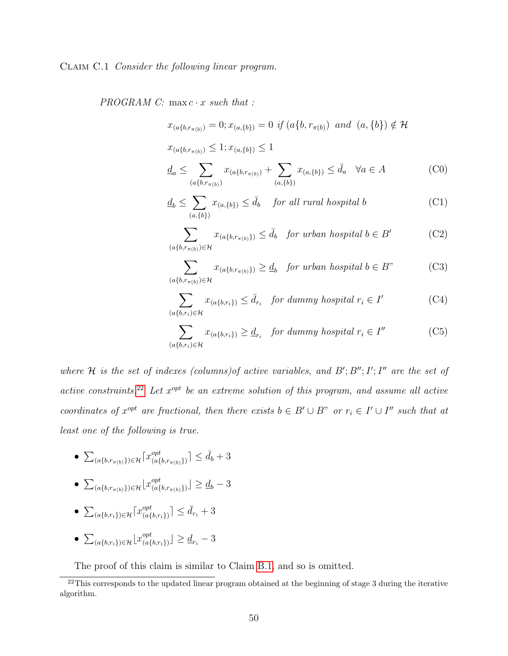#### Claim C.1 Consider the following linear program.

 $PROGRAM$  C: max  $c \cdot x$  such that :

$$
x_{(a{b,r_{\pi(b)}})} = 0; x_{(a,{b})} = 0 \text{ if } (a{b,r_{\pi(b)}}) \text{ and } (a,{b}) \notin \mathcal{H}
$$

<span id="page-50-6"></span> $x_{(a{b,r_{\pi(b)}})} \leq 1; x_{(a,{b})} \leq 1$ 

<span id="page-50-0"></span>
$$
\underline{d}_a \le \sum_{(a\{b,r_{\pi(b)})} x_{(a\{b,r_{\pi(b)})}} + \sum_{(a,\{b\})} x_{(a,\{b\})} \le \bar{d}_a \quad \forall a \in A \tag{C0}
$$

$$
\underline{d}_b \le \sum_{(a,\{b\})} x_{(a,\{b\})} \le \bar{d}_b \quad \text{for all rural hospital } b \tag{C1}
$$

<span id="page-50-2"></span>
$$
\sum_{(a\{b,r_{\pi(b)}\}\in\mathcal{H}} x_{(a\{b,r_{\pi(b)}\})} \le \bar{d}_b \quad \text{for urban hospital } b \in B' \tag{C2}
$$

<span id="page-50-4"></span><span id="page-50-3"></span>
$$
\sum_{(a\{b,r_{\pi(b)}\}\in\mathcal{H}} x_{(a\{b,r_{\pi(b)}\})} \ge \underline{d}_b \quad \text{for urban hospital } b \in B" \tag{C3}
$$

$$
\sum_{(a\{b,r_i)\in\mathcal{H}}x_{(a\{b,r_i\})}\leq \bar{d}_{r_i} \quad \text{for dummy hospital } r_i \in I' \tag{C4}
$$

<span id="page-50-5"></span>
$$
\sum_{(a\{b,r_i)\in\mathcal{H}} x_{(a\{b,r_i\})} \ge d_{r_i} \quad \text{for dummy hospital } r_i \in I''
$$
 (C5)

where H is the set of indexes (columns) of active variables, and  $B'; B''; I'; I''$  are the set of active constraints.<sup>[22](#page-50-1)</sup> Let  $x^{opt}$  be an extreme solution of this program, and assume all active coordinates of  $x^{opt}$  are fractional, then there exists  $b \in B' \cup B''$  or  $r_i \in I' \cup I''$  such that at least one of the following is true.

- $\bullet$   $\sum_{(a\{b,r_{\pi(b)}\})\in\mathcal{H}}\lceil x_{(a\{b\}}^{opt}$  $_{(a{b,r_{\pi(b)}})}^{opt}$   $\leq d_b + 3$
- $\bullet$   $\sum_{(a\{b,r_{\pi(b)}\})\in\mathcal{H}}\left[\mathcal{X}^{opt}_{(a\{b\})}\right]$  $\binom{opt}{(a{b,r_{\pi(b)}})} \leq \underline{d}_b - 3$
- $\bullet$   $\sum_{(a{\{b,r_i\}}) \in \mathcal{H}} \lceil x_{(a{\{b,r_i\}})}^{opt}$  $\binom{opt}{(a{b,r_i})} \leq \bar{d}_{r_i} + 3$
- $\bullet$   $\sum_{(a{\{b,r_i\}}) \in \mathcal{H}} \left[ x_{(a{\{b,r_i\}})}^{opt} \right]$  $\binom{opt}{(a{b,r_i})}\n\geq \underline{d}_{r_i}-3$

<span id="page-50-1"></span>The proof of this claim is similar to Claim [B.1,](#page-41-1) and so is omitted.

 $^{22}$ This corresponds to the updated linear program obtained at the beginning of stage 3 during the iterative algorithm.